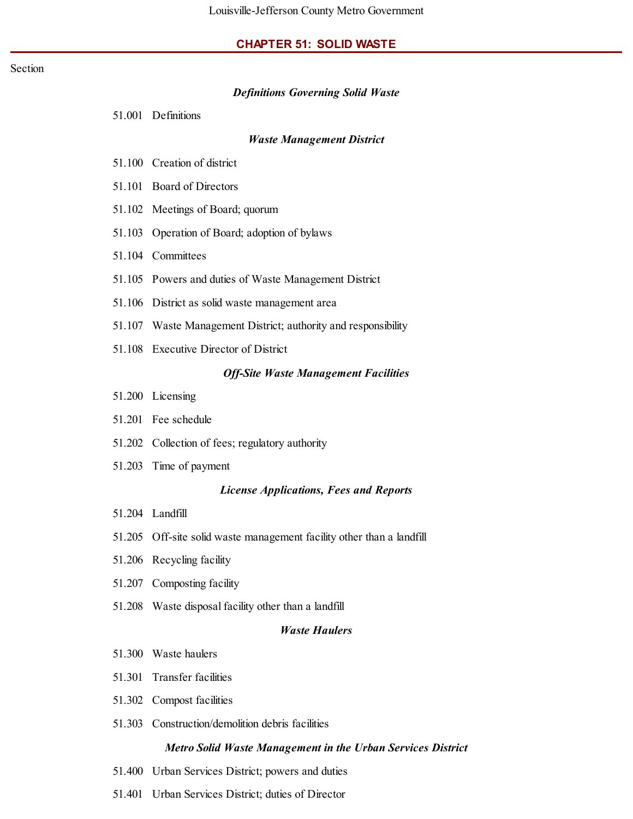#### **CHAPTER 51: SOLID WASTE**

#### Section

#### *Definitions Governing Solid Waste*

51.001 Definitions

#### *Waste Management District*

- 51.100 Creation of district
- 51.101 Board of Directors
- 51.102 Meetings of Board; quorum
- 51.103 Operation of Board; adoption of bylaws
- 51.104 Committees
- 51.105 Powers and duties of Waste Management District
- 51.106 District as solid waste management area
- 51.107 Waste Management District; authority and responsibility
- 51.108 Executive Director of District

#### *Off-Site Waste Management Facilities*

- 51.200 Licensing
- 51.201 Fee schedule
- 51.202 Collection of fees; regulatory authority
- 51.203 Time of payment

#### *License Applications, Fees and Reports*

- 51.204 Landfill
- 51.205 Off-site solid waste management facility other than a landfill
- 51.206 Recycling facility
- 51.207 Composting facility
- 51.208 Waste disposal facility other than a landfill

#### *Waste Haulers*

- 51.300 Waste haulers
- 51.301 Transfer facilities
- 51.302 Compost facilities
- 51.303 Construction/demolition debris facilities

#### *Metro Solid Waste Management in the Urban Services District*

- 51.400 Urban Services District; powers and duties
- 51.401 Urban Services District; duties of Director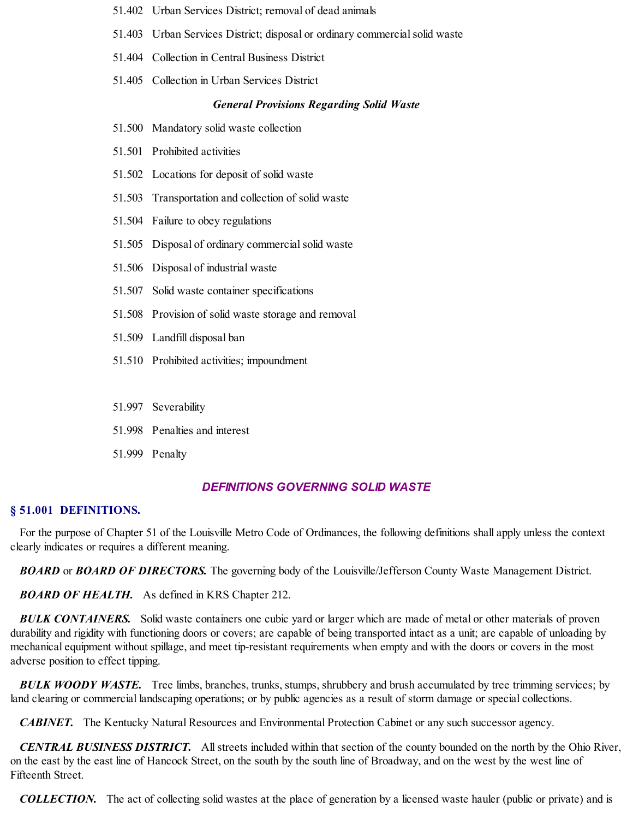- 51.402 Urban Services District; removal of dead animals
- 51.403 Urban Services District; disposal or ordinary commercial solid waste
- 51.404 Collection in Central Business District
- 51.405 Collection in Urban Services District

### *General Provisions Regarding Solid Waste*

- 51.500 Mandatory solid waste collection
- 51.501 Prohibited activities
- 51.502 Locations for deposit of solid waste
- 51.503 Transportation and collection of solid waste
- 51.504 Failure to obey regulations
- 51.505 Disposal of ordinary commercial solid waste
- 51.506 Disposal of industrial waste
- 51.507 Solid waste container specifications
- 51.508 Provision of solid waste storage and removal
- 51.509 Landfill disposal ban
- 51.510 Prohibited activities; impoundment
- 51.997 Severability
- 51.998 Penalties and interest
- 51.999 Penalty

### *DEFINITIONS GOVERNING SOLID WASTE*

#### **§ 51.001 DEFINITIONS.**

For the purpose of Chapter 51 of the Louisville Metro Code of Ordinances, the following definitions shall apply unless the context clearly indicates or requires a different meaning.

*BOARD* or *BOARD OF DIRECTORS.* The governing body of the Louisville/Jefferson County Waste Management District.

*BOARD OF HEALTH.* As defined in KRS Chapter 212.

*BULK CONTAINERS.* Solid waste containers one cubic yard or larger which are made of metal or other materials of proven durability and rigidity with functioning doors or covers; are capable of being transported intact as a unit; are capable of unloading by mechanical equipment without spillage, and meet tip-resistant requirements when empty and with the doors or covers in the most adverse position to effect tipping.

*BULK WOODY WASTE.* Tree limbs, branches, trunks, stumps, shrubbery and brush accumulated by tree trimming services; by land clearing or commercial landscaping operations; or by public agencies as a result of storm damage or special collections.

*CABINET.* The Kentucky Natural Resources and Environmental Protection Cabinet or any such successor agency.

*CENTRAL BUSINESS DISTRICT.* Allstreets included within that section of the county bounded on the north by the Ohio River, on the east by the east line of Hancock Street, on the south by the south line of Broadway, and on the west by the west line of Fifteenth Street.

*COLLECTION.* The act of collecting solid wastes at the place of generation by a licensed waste hauler (public or private) and is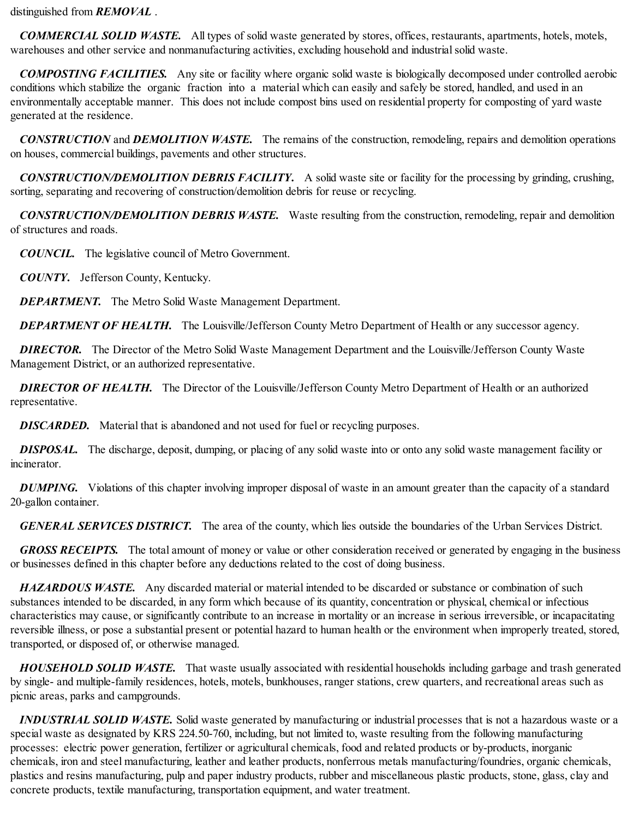distinguished from *REMOVAL* .

*COMMERCIAL SOLID WASTE.* All types of solid waste generated by stores, offices, restaurants, apartments, hotels, motels, warehouses and other service and nonmanufacturing activities, excluding household and industrial solid waste.

*COMPOSTING FACILITIES.* Any site or facility where organic solid waste is biologically decomposed under controlled aerobic conditions which stabilize the organic fraction into a material which can easily and safely be stored, handled, and used in an environmentally acceptable manner. This does not include compost bins used on residential property for composting of yard waste generated at the residence.

*CONSTRUCTION* and *DEMOLITION WASTE.* The remains of the construction, remodeling, repairs and demolition operations on houses, commercial buildings, pavements and other structures.

*CONSTRUCTION/DEMOLITION DEBRIS FACILITY.* A solid waste site or facility for the processing by grinding, crushing, sorting, separating and recovering of construction/demolition debris for reuse or recycling.

*CONSTRUCTION/DEMOLITION DEBRIS WASTE.* Waste resulting from the construction, remodeling, repair and demolition of structures and roads.

*COUNCIL.* The legislative council of Metro Government.

*COUNTY.* Jefferson County, Kentucky.

*DEPARTMENT.* The Metro Solid Waste Management Department.

*DEPARTMENT OF HEALTH.* The Louisville/Jefferson County Metro Department of Health or any successor agency.

*DIRECTOR.* The Director of the Metro Solid Waste Management Department and the Louisville/Jefferson County Waste Management District, or an authorized representative.

*DIRECTOR OF HEALTH.* The Director of the Louisville/Jefferson County Metro Department of Health or an authorized representative.

**DISCARDED.** Material that is abandoned and not used for fuel or recycling purposes.

*DISPOSAL.* The discharge, deposit, dumping, or placing of any solid waste into or onto any solid waste management facility or incinerator.

*DUMPING*. Violations of this chapter involving improper disposal of waste in an amount greater than the capacity of a standard 20-gallon container.

*GENERAL SERVICES DISTRICT.* The area of the county, which lies outside the boundaries of the Urban Services District.

*GROSS RECEIPTS.* The total amount of money or value or other consideration received or generated by engaging in the business or businesses defined in this chapter before any deductions related to the cost of doing business.

*HAZARDOUS WASTE.* Any discarded material or material intended to be discarded or substance or combination of such substances intended to be discarded, in any form which because of its quantity, concentration or physical, chemical or infectious characteristics may cause, or significantly contribute to an increase in mortality or an increase in serious irreversible, or incapacitating reversible illness, or pose a substantial present or potential hazard to human health or the environment when improperly treated, stored, transported, or disposed of, or otherwise managed.

*HOUSEHOLD SOLID WASTE.* That waste usually associated with residential households including garbage and trash generated by single- and multiple-family residences, hotels, motels, bunkhouses, ranger stations, crew quarters, and recreational areas such as picnic areas, parks and campgrounds.

*INDUSTRIAL SOLID WASTE.* Solid waste generated by manufacturing or industrial processes that is not a hazardous waste or a special waste as designated by KRS 224.50-760, including, but not limited to, waste resulting from the following manufacturing processes: electric power generation, fertilizer or agricultural chemicals, food and related products or by-products, inorganic chemicals, iron and steel manufacturing, leather and leather products, nonferrous metals manufacturing/foundries, organic chemicals, plastics and resins manufacturing, pulp and paper industry products, rubber and miscellaneous plastic products, stone, glass, clay and concrete products, textile manufacturing, transportation equipment, and water treatment.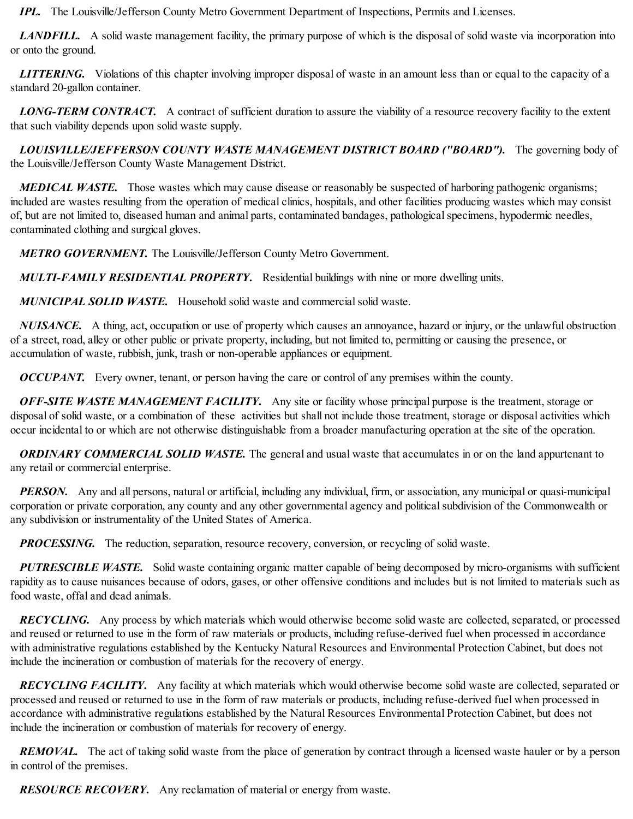*IPL.* The Louisville/Jefferson County Metro Government Department of Inspections, Permits and Licenses.

*LANDFILL.* A solid waste management facility, the primary purpose of which is the disposal of solid waste via incorporation into or onto the ground.

*LITTERING.* Violations of this chapter involving improper disposal of waste in an amount less than or equal to the capacity of a standard 20-gallon container.

*LONG-TERM CONTRACT.* A contract of sufficient duration to assure the viability of a resource recovery facility to the extent that such viability depends upon solid waste supply.

*LOUISVILLE/JEFFERSON COUNTY WASTE MANAGEMENT DISTRICT BOARD ("BOARD").* The governing body of the Louisville/Jefferson County Waste Management District.

*MEDICAL WASTE.* Those wastes which may cause disease or reasonably be suspected of harboring pathogenic organisms; included are wastes resulting from the operation of medical clinics, hospitals, and other facilities producing wastes which may consist of, but are not limited to, diseased human and animal parts, contaminated bandages, pathological specimens, hypodermic needles, contaminated clothing and surgical gloves.

*METRO GOVERNMENT.* The Louisville/Jefferson County Metro Government.

*MULTI-FAMILY RESIDENTIAL PROPERTY.* Residential buildings with nine or more dwelling units.

*MUNICIPAL SOLID WASTE.* Household solid waste and commercialsolid waste.

*NUISANCE.* A thing, act, occupation or use of property which causes an annoyance, hazard or injury, or the unlawful obstruction of a street, road, alley or other public or private property, including, but not limited to, permitting or causing the presence, or accumulation of waste, rubbish, junk, trash or non-operable appliances or equipment.

*OCCUPANT.* Every owner, tenant, or person having the care or control of any premises within the county.

*OFF-SITE WASTE MANAGEMENT FACILITY.* Any site or facility whose principal purpose is the treatment, storage or disposal of solid waste, or a combination of these activities but shall not include those treatment, storage or disposal activities which occur incidental to or which are not otherwise distinguishable from a broader manufacturing operation at the site of the operation.

*ORDINARY COMMERCIAL SOLID WASTE.* The general and usual waste that accumulates in or on the land appurtenant to any retail or commercial enterprise.

*PERSON.* Any and all persons, natural or artificial, including any individual, firm, or association, any municipal or quasi-municipal corporation or private corporation, any county and any other governmental agency and political subdivision of the Commonwealth or any subdivision or instrumentality of the United States of America.

*PROCESSING.* The reduction, separation, resource recovery, conversion, or recycling of solid waste.

*PUTRESCIBLE WASTE.* Solid waste containing organic matter capable of being decomposed by micro-organisms with sufficient rapidity as to cause nuisances because of odors, gases, or other offensive conditions and includes but is not limited to materials such as food waste, offal and dead animals.

*RECYCLING.* Any process by which materials which would otherwise become solid waste are collected, separated, or processed and reused or returned to use in the form of raw materials or products, including refuse-derived fuel when processed in accordance with administrative regulations established by the Kentucky Natural Resources and Environmental Protection Cabinet, but does not include the incineration or combustion of materials for the recovery of energy.

*RECYCLING FACILITY.* Any facility at which materials which would otherwise become solid waste are collected, separated or processed and reused or returned to use in the form of raw materials or products, including refuse-derived fuel when processed in accordance with administrative regulations established by the Natural Resources Environmental Protection Cabinet, but does not include the incineration or combustion of materials for recovery of energy.

*REMOVAL*. The act of taking solid waste from the place of generation by contract through a licensed waste hauler or by a person in control of the premises.

*RESOURCE RECOVERY.* Any reclamation of material or energy from waste.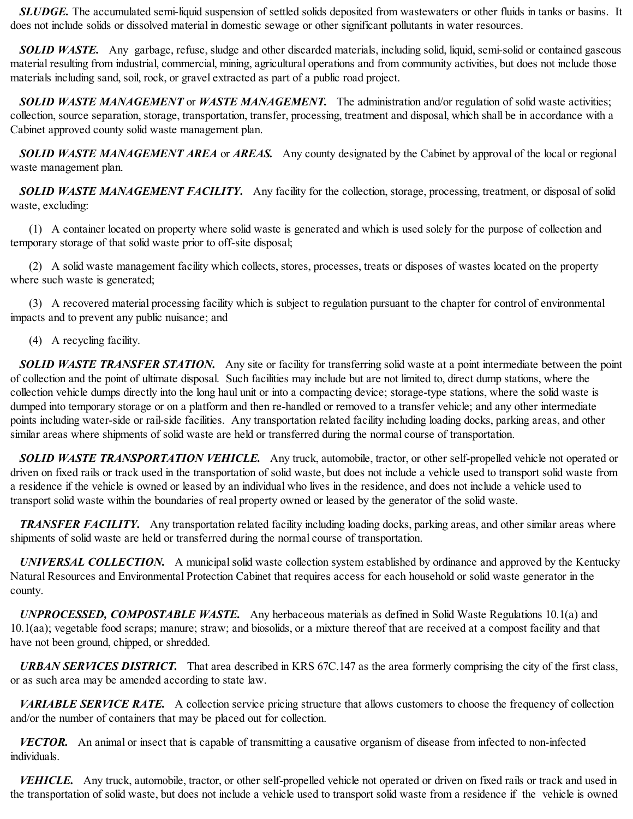*SLUDGE.* The accumulated semi-liquid suspension of settled solids deposited from wastewaters or other fluids in tanks or basins. It does not include solids or dissolved material in domestic sewage or other significant pollutants in water resources.

**SOLID WASTE.** Any garbage, refuse, sludge and other discarded materials, including solid, liquid, semi-solid or contained gaseous material resulting from industrial, commercial, mining, agricultural operations and from community activities, but does not include those materials including sand, soil, rock, or gravel extracted as part of a public road project.

*SOLID WASTE MANAGEMENT* or *WASTE MANAGEMENT.* The administration and/or regulation of solid waste activities; collection, source separation, storage, transportation, transfer, processing, treatment and disposal, which shall be in accordance with a Cabinet approved county solid waste management plan.

*SOLID WASTE MANAGEMENT AREA* or *AREAS.* Any county designated by the Cabinet by approval of the local or regional waste management plan.

*SOLID WASTE MANAGEMENT FACILITY.* Any facility for the collection, storage, processing, treatment, or disposal of solid waste, excluding:

(1) A container located on property where solid waste is generated and which is used solely for the purpose of collection and temporary storage of that solid waste prior to off-site disposal;

(2) A solid waste management facility which collects, stores, processes, treats or disposes of wastes located on the property where such waste is generated;

(3) A recovered material processing facility which is subject to regulation pursuant to the chapter for control of environmental impacts and to prevent any public nuisance; and

(4) A recycling facility.

*SOLID WASTE TRANSFER STATION.* Any site or facility for transferring solid waste at a point intermediate between the point of collection and the point of ultimate disposal. Such facilities may include but are not limited to, direct dump stations, where the collection vehicle dumps directly into the long haul unit or into a compacting device; storage-type stations, where the solid waste is dumped into temporary storage or on a platform and then re-handled or removed to a transfer vehicle; and any other intermediate points including water-side or rail-side facilities. Any transportation related facility including loading docks, parking areas, and other similar areas where shipments of solid waste are held or transferred during the normal course of transportation.

*SOLID WASTE TRANSPORTATION VEHICLE.* Any truck, automobile, tractor, or other self-propelled vehicle not operated or driven on fixed rails or track used in the transportation of solid waste, but does not include a vehicle used to transport solid waste from a residence if the vehicle is owned or leased by an individual who lives in the residence, and does not include a vehicle used to transport solid waste within the boundaries of real property owned or leased by the generator of the solid waste.

*TRANSFER FACILITY.* Any transportation related facility including loading docks, parking areas, and other similar areas where shipments of solid waste are held or transferred during the normal course of transportation.

*UNIVERSAL COLLECTION.* A municipal solid waste collection system established by ordinance and approved by the Kentucky Natural Resources and Environmental Protection Cabinet that requires access for each household or solid waste generator in the county.

*UNPROCESSED, COMPOSTABLE WASTE.* Any herbaceous materials as defined in Solid Waste Regulations 10.1(a) and 10.1(aa); vegetable food scraps; manure; straw; and biosolids, or a mixture thereof that are received at a compost facility and that have not been ground, chipped, or shredded.

*URBAN SERVICES DISTRICT.* That area described in KRS 67C.147 as the area formerly comprising the city of the first class, or as such area may be amended according to state law.

*VARIABLE SERVICE RATE.* A collection service pricing structure that allows customers to choose the frequency of collection and/or the number of containers that may be placed out for collection.

*VECTOR.* An animal or insect that is capable of transmitting a causative organism of disease from infected to non-infected individuals.

*VEHICLE.* Any truck, automobile, tractor, or other self-propelled vehicle not operated or driven on fixed rails or track and used in the transportation of solid waste, but does not include a vehicle used to transport solid waste from a residence if the vehicle is owned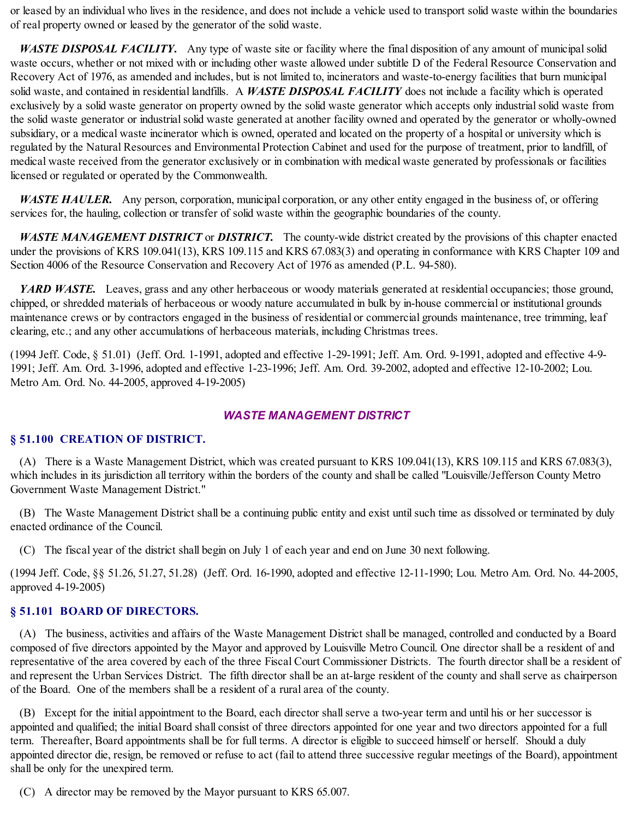or leased by an individual who lives in the residence, and does not include a vehicle used to transport solid waste within the boundaries of real property owned or leased by the generator of the solid waste.

*WASTE DISPOSAL FACILITY.* Any type of waste site or facility where the final disposition of any amount of municipalsolid waste occurs, whether or not mixed with or including other waste allowed under subtitle D of the Federal Resource Conservation and Recovery Act of 1976, as amended and includes, but is not limited to, incinerators and waste-to-energy facilities that burn municipal solid waste, and contained in residential landfills. A *WASTE DISPOSAL FACILITY* does not include a facility which is operated exclusively by a solid waste generator on property owned by the solid waste generator which accepts only industrialsolid waste from the solid waste generator or industrial solid waste generated at another facility owned and operated by the generator or wholly-owned subsidiary, or a medical waste incinerator which is owned, operated and located on the property of a hospital or university which is regulated by the Natural Resources and Environmental Protection Cabinet and used for the purpose of treatment, prior to landfill, of medical waste received from the generator exclusively or in combination with medical waste generated by professionals or facilities licensed or regulated or operated by the Commonwealth.

*WASTE HAULER.* Any person, corporation, municipal corporation, or any other entity engaged in the business of, or offering services for, the hauling, collection or transfer of solid waste within the geographic boundaries of the county.

*WASTE MANAGEMENT DISTRICT* or *DISTRICT.* The county-wide district created by the provisions of this chapter enacted under the provisions of KRS 109.041(13), KRS 109.115 and KRS 67.083(3) and operating in conformance with KRS Chapter 109 and Section 4006 of the Resource Conservation and Recovery Act of 1976 as amended (P.L. 94-580).

*YARD WASTE.* Leaves, grass and any other herbaceous or woody materials generated at residential occupancies; those ground, chipped, or shredded materials of herbaceous or woody nature accumulated in bulk by in-house commercial or institutional grounds maintenance crews or by contractors engaged in the business of residential or commercial grounds maintenance, tree trimming, leaf clearing, etc.; and any other accumulations of herbaceous materials, including Christmas trees.

(1994 Jeff. Code, § 51.01) (Jeff. Ord. 1-1991, adopted and effective 1-29-1991; Jeff. Am. Ord. 9-1991, adopted and effective 4-9- 1991; Jeff. Am. Ord. 3-1996, adopted and effective 1-23-1996; Jeff. Am. Ord. 39-2002, adopted and effective 12-10-2002; Lou. Metro Am. Ord. No. 44-2005, approved 4-19-2005)

# *WASTE MANAGEMENT DISTRICT*

#### **§ 51.100 CREATION OF DISTRICT.**

(A) There is a Waste Management District, which was created pursuant to KRS 109.041(13), KRS 109.115 and KRS 67.083(3), which includes in its jurisdiction all territory within the borders of the county and shall be called "Louisville/Jefferson County Metro Government Waste Management District."

(B) The Waste Management District shall be a continuing public entity and exist untilsuch time as dissolved or terminated by duly enacted ordinance of the Council.

(C) The fiscal year of the district shall begin on July 1 of each year and end on June 30 next following.

(1994 Jeff. Code, §§ 51.26, 51.27, 51.28) (Jeff. Ord. 16-1990, adopted and effective 12-11-1990; Lou. Metro Am. Ord. No. 44-2005, approved 4-19-2005)

### **§ 51.101 BOARD OF DIRECTORS.**

(A) The business, activities and affairs of the Waste Management District shall be managed, controlled and conducted by a Board composed of five directors appointed by the Mayor and approved by Louisville Metro Council. One director shall be a resident of and representative of the area covered by each of the three Fiscal Court Commissioner Districts. The fourth director shall be a resident of and represent the Urban Services District. The fifth director shall be an at-large resident of the county and shallserve as chairperson of the Board. One of the members shall be a resident of a rural area of the county.

(B) Except for the initial appointment to the Board, each director shallserve a two-year term and until his or her successor is appointed and qualified; the initial Board shall consist of three directors appointed for one year and two directors appointed for a full term. Thereafter, Board appointments shall be for full terms. A director is eligible to succeed himself or herself. Should a duly appointed director die, resign, be removed or refuse to act (fail to attend three successive regular meetings of the Board), appointment shall be only for the unexpired term.

(C) A director may be removed by the Mayor pursuant to KRS 65.007.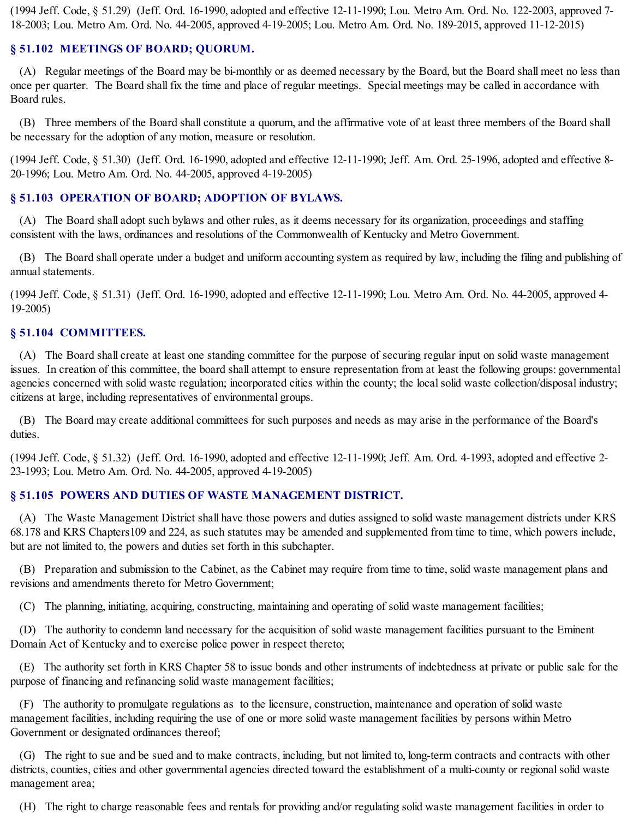(1994 Jeff. Code, § 51.29) (Jeff. Ord. 16-1990, adopted and effective 12-11-1990; Lou. Metro Am. Ord. No. 122-2003, approved 7- 18-2003; Lou. Metro Am. Ord. No. 44-2005, approved 4-19-2005; Lou. Metro Am. Ord. No. 189-2015, approved 11-12-2015)

### **§ 51.102 MEETINGS OF BOARD; QUORUM.**

(A) Regular meetings of the Board may be bi-monthly or as deemed necessary by the Board, but the Board shall meet no less than once per quarter. The Board shall fix the time and place of regular meetings. Special meetings may be called in accordance with Board rules.

(B) Three members of the Board shall constitute a quorum, and the affirmative vote of at least three members of the Board shall be necessary for the adoption of any motion, measure or resolution.

(1994 Jeff. Code, § 51.30) (Jeff. Ord. 16-1990, adopted and effective 12-11-1990; Jeff. Am. Ord. 25-1996, adopted and effective 8- 20-1996; Lou. Metro Am. Ord. No. 44-2005, approved 4-19-2005)

### **§ 51.103 OPERATION OF BOARD; ADOPTION OF BYLAWS.**

(A) The Board shall adopt such bylaws and other rules, as it deems necessary for its organization, proceedings and staffing consistent with the laws, ordinances and resolutions of the Commonwealth of Kentucky and Metro Government.

(B) The Board shall operate under a budget and uniform accounting system as required by law, including the filing and publishing of annual statements.

(1994 Jeff. Code, § 51.31) (Jeff. Ord. 16-1990, adopted and effective 12-11-1990; Lou. Metro Am. Ord. No. 44-2005, approved 4- 19-2005)

#### **§ 51.104 COMMITTEES.**

(A) The Board shall create at least one standing committee for the purpose of securing regular input on solid waste management issues. In creation of this committee, the board shall attempt to ensure representation from at least the following groups: governmental agencies concerned with solid waste regulation; incorporated cities within the county; the localsolid waste collection/disposal industry; citizens at large, including representatives of environmental groups.

(B) The Board may create additional committees for such purposes and needs as may arise in the performance of the Board's duties.

(1994 Jeff. Code, § 51.32) (Jeff. Ord. 16-1990, adopted and effective 12-11-1990; Jeff. Am. Ord. 4-1993, adopted and effective 2- 23-1993; Lou. Metro Am. Ord. No. 44-2005, approved 4-19-2005)

#### **§ 51.105 POWERS AND DUTIES OF WASTE MANAGEMENT DISTRICT.**

(A) The Waste Management District shall have those powers and duties assigned to solid waste management districts under KRS 68.178 and KRS Chapters109 and 224, as such statutes may be amended and supplemented from time to time, which powers include, but are not limited to, the powers and duties set forth in this subchapter.

(B) Preparation and submission to the Cabinet, as the Cabinet may require from time to time, solid waste management plans and revisions and amendments thereto for Metro Government;

(C) The planning, initiating, acquiring, constructing, maintaining and operating of solid waste management facilities;

(D) The authority to condemn land necessary for the acquisition of solid waste management facilities pursuant to the Eminent Domain Act of Kentucky and to exercise police power in respect thereto;

(E) The authority set forth in KRS Chapter 58 to issue bonds and other instruments of indebtedness at private or public sale for the purpose of financing and refinancing solid waste management facilities;

(F) The authority to promulgate regulations as to the licensure, construction, maintenance and operation of solid waste management facilities, including requiring the use of one or more solid waste management facilities by persons within Metro Government or designated ordinances thereof;

(G) The right to sue and be sued and to make contracts, including, but not limited to, long-term contracts and contracts with other districts, counties, cities and other governmental agencies directed toward the establishment of a multi-county or regional solid waste management area;

(H) The right to charge reasonable fees and rentals for providing and/or regulating solid waste management facilities in order to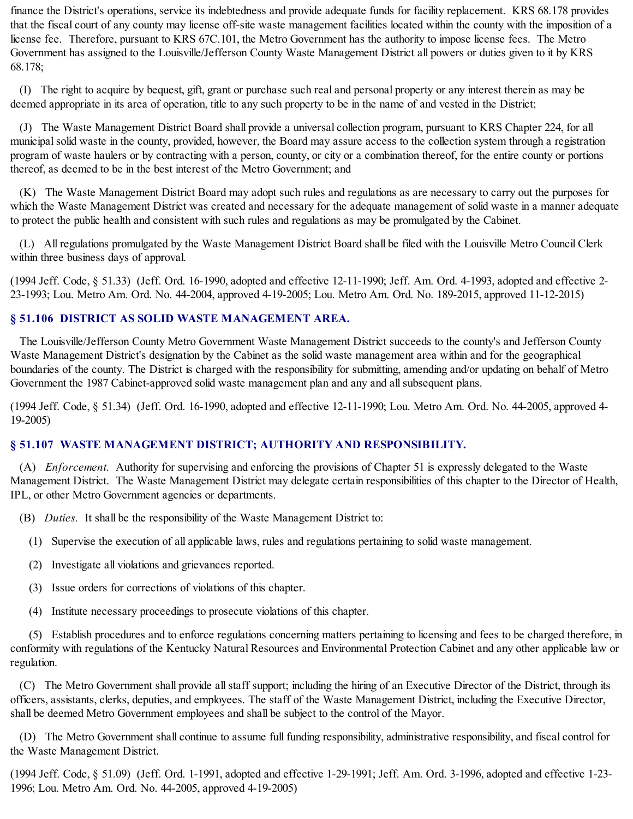finance the District's operations, service its indebtedness and provide adequate funds for facility replacement. KRS 68.178 provides that the fiscal court of any county may license off-site waste management facilities located within the county with the imposition of a license fee. Therefore, pursuant to KRS 67C.101, the Metro Government has the authority to impose license fees. The Metro Government has assigned to the Louisville/Jefferson County Waste Management District all powers or duties given to it by KRS 68.178;

(I) The right to acquire by bequest, gift, grant or purchase such real and personal property or any interest therein as may be deemed appropriate in its area of operation, title to any such property to be in the name of and vested in the District;

(J) The Waste Management District Board shall provide a universal collection program, pursuant to KRS Chapter 224, for all municipalsolid waste in the county, provided, however, the Board may assure access to the collection system through a registration program of waste haulers or by contracting with a person, county, or city or a combination thereof, for the entire county or portions thereof, as deemed to be in the best interest of the Metro Government; and

(K) The Waste Management District Board may adopt such rules and regulations as are necessary to carry out the purposes for which the Waste Management District was created and necessary for the adequate management of solid waste in a manner adequate to protect the public health and consistent with such rules and regulations as may be promulgated by the Cabinet.

(L) All regulations promulgated by the Waste Management District Board shall be filed with the Louisville Metro Council Clerk within three business days of approval.

(1994 Jeff. Code, § 51.33) (Jeff. Ord. 16-1990, adopted and effective 12-11-1990; Jeff. Am. Ord. 4-1993, adopted and effective 2- 23-1993; Lou. Metro Am. Ord. No. 44-2004, approved 4-19-2005; Lou. Metro Am. Ord. No. 189-2015, approved 11-12-2015)

### **§ 51.106 DISTRICT AS SOLID WASTE MANAGEMENT AREA.**

The Louisville/Jefferson County Metro Government Waste Management District succeeds to the county's and Jefferson County Waste Management District's designation by the Cabinet as the solid waste management area within and for the geographical boundaries of the county. The District is charged with the responsibility for submitting, amending and/or updating on behalf of Metro Government the 1987 Cabinet-approved solid waste management plan and any and allsubsequent plans.

(1994 Jeff. Code, § 51.34) (Jeff. Ord. 16-1990, adopted and effective 12-11-1990; Lou. Metro Am. Ord. No. 44-2005, approved 4- 19-2005)

### **§ 51.107 WASTE MANAGEMENT DISTRICT; AUTHORITY AND RESPONSIBILITY.**

(A) *Enforcement.* Authority for supervising and enforcing the provisions of Chapter 51 is expressly delegated to the Waste Management District. The Waste Management District may delegate certain responsibilities of this chapter to the Director of Health, IPL, or other Metro Government agencies or departments.

(B) *Duties.* It shall be the responsibility of the Waste Management District to:

(1) Supervise the execution of all applicable laws, rules and regulations pertaining to solid waste management.

- (2) Investigate all violations and grievances reported.
- (3) Issue orders for corrections of violations of this chapter.
- (4) Institute necessary proceedings to prosecute violations of this chapter.

(5) Establish procedures and to enforce regulations concerning matters pertaining to licensing and fees to be charged therefore, in conformity with regulations of the Kentucky Natural Resources and Environmental Protection Cabinet and any other applicable law or regulation.

(C) The Metro Government shall provide allstaff support; including the hiring of an Executive Director of the District, through its officers, assistants, clerks, deputies, and employees. The staff of the Waste Management District, including the Executive Director, shall be deemed Metro Government employees and shall be subject to the control of the Mayor.

(D) The Metro Government shall continue to assume full funding responsibility, administrative responsibility, and fiscal control for the Waste Management District.

(1994 Jeff. Code, § 51.09) (Jeff. Ord. 1-1991, adopted and effective 1-29-1991; Jeff. Am. Ord. 3-1996, adopted and effective 1-23- 1996; Lou. Metro Am. Ord. No. 44-2005, approved 4-19-2005)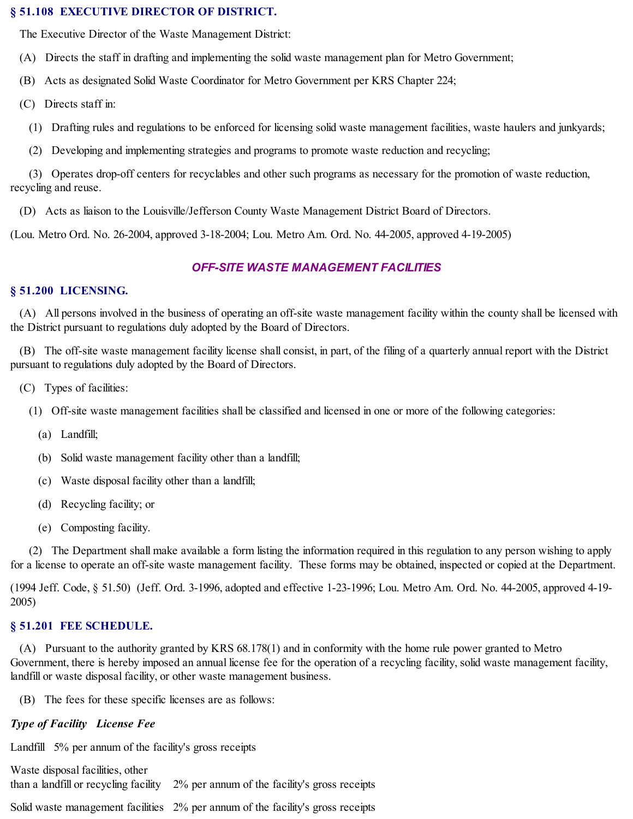#### **§ 51.108 EXECUTIVE DIRECTOR OF DISTRICT.**

The Executive Director of the Waste Management District:

- (A) Directs the staff in drafting and implementing the solid waste management plan for Metro Government;
- (B) Acts as designated Solid Waste Coordinator for Metro Government per KRS Chapter 224;
- (C) Directs staff in:
	- (1) Drafting rules and regulations to be enforced for licensing solid waste management facilities, waste haulers and junkyards;
	- (2) Developing and implementing strategies and programs to promote waste reduction and recycling;

(3) Operates drop-off centers for recyclables and other such programs as necessary for the promotion of waste reduction, recycling and reuse.

(D) Acts as liaison to the Louisville/Jefferson County Waste Management District Board of Directors.

(Lou. Metro Ord. No. 26-2004, approved 3-18-2004; Lou. Metro Am. Ord. No. 44-2005, approved 4-19-2005)

# *OFF-SITE WASTE MANAGEMENT FACILITIES*

#### **§ 51.200 LICENSING.**

(A) All persons involved in the business of operating an off-site waste management facility within the county shall be licensed with the District pursuant to regulations duly adopted by the Board of Directors.

(B) The off-site waste management facility license shall consist, in part, of the filing of a quarterly annual report with the District pursuant to regulations duly adopted by the Board of Directors.

- (C) Types of facilities:
	- (1) Off-site waste management facilities shall be classified and licensed in one or more of the following categories:
		- (a) Landfill;
		- (b) Solid waste management facility other than a landfill;
		- (c) Waste disposal facility other than a landfill;
		- (d) Recycling facility; or
		- (e) Composting facility.

(2) The Department shall make available a form listing the information required in this regulation to any person wishing to apply for a license to operate an off-site waste management facility. These forms may be obtained, inspected or copied at the Department.

(1994 Jeff. Code, § 51.50) (Jeff. Ord. 3-1996, adopted and effective 1-23-1996; Lou. Metro Am. Ord. No. 44-2005, approved 4-19- 2005)

### **§ 51.201 FEE SCHEDULE.**

(A) Pursuant to the authority granted by KRS 68.178(1) and in conformity with the home rule power granted to Metro Government, there is hereby imposed an annual license fee for the operation of a recycling facility, solid waste management facility, landfill or waste disposal facility, or other waste management business.

(B) The fees for these specific licenses are as follows:

### *Type of Facility License Fee*

Landfill 5% per annum of the facility's gross receipts

Waste disposal facilities, other than a landfill or recycling facility 2% per annum of the facility's gross receipts Solid waste management facilities 2% per annum of the facility's gross receipts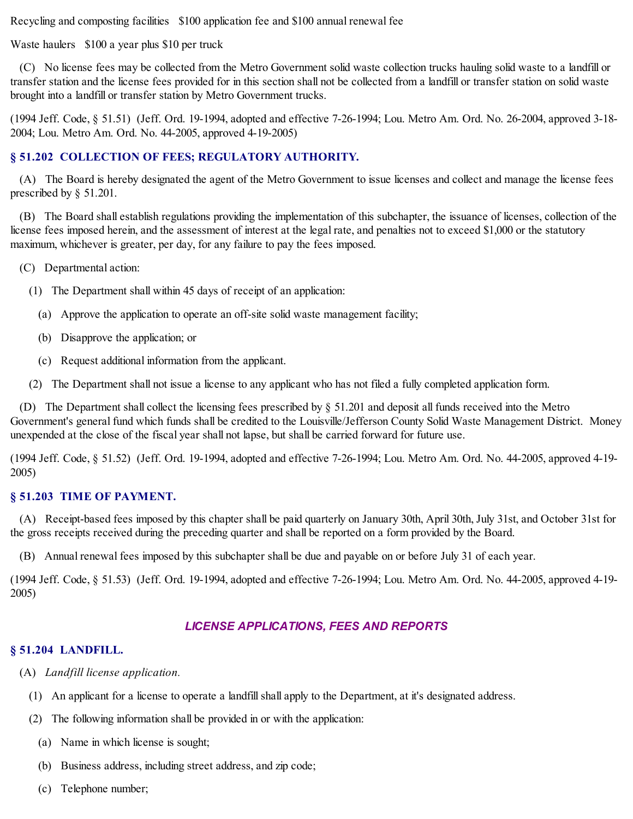Recycling and composting facilities \$100 application fee and \$100 annual renewal fee

Waste haulers \$100 a year plus \$10 per truck

(C) No license fees may be collected from the Metro Government solid waste collection trucks hauling solid waste to a landfill or transfer station and the license fees provided for in this section shall not be collected from a landfill or transfer station on solid waste brought into a landfill or transfer station by Metro Government trucks.

(1994 Jeff. Code, § 51.51) (Jeff. Ord. 19-1994, adopted and effective 7-26-1994; Lou. Metro Am. Ord. No. 26-2004, approved 3-18- 2004; Lou. Metro Am. Ord. No. 44-2005, approved 4-19-2005)

### **§ 51.202 COLLECTION OF FEES; REGULATORY AUTHORITY.**

(A) The Board is hereby designated the agent of the Metro Government to issue licenses and collect and manage the license fees prescribed by § 51.201.

(B) The Board shall establish regulations providing the implementation of this subchapter, the issuance of licenses, collection of the license fees imposed herein, and the assessment of interest at the legal rate, and penalties not to exceed \$1,000 or the statutory maximum, whichever is greater, per day, for any failure to pay the fees imposed.

(C) Departmental action:

- (1) The Department shall within 45 days of receipt of an application:
	- (a) Approve the application to operate an off-site solid waste management facility;
	- (b) Disapprove the application; or
	- (c) Request additional information from the applicant.

(2) The Department shall not issue a license to any applicant who has not filed a fully completed application form.

(D) The Department shall collect the licensing fees prescribed by  $\S$  51.201 and deposit all funds received into the Metro Government's general fund which funds shall be credited to the Louisville/Jefferson County Solid Waste Management District. Money unexpended at the close of the fiscal year shall not lapse, but shall be carried forward for future use.

(1994 Jeff. Code, § 51.52) (Jeff. Ord. 19-1994, adopted and effective 7-26-1994; Lou. Metro Am. Ord. No. 44-2005, approved 4-19- 2005)

### **§ 51.203 TIME OF PAYMENT.**

(A) Receipt-based fees imposed by this chapter shall be paid quarterly on January 30th, April 30th, July 31st, and October 31st for the gross receipts received during the preceding quarter and shall be reported on a form provided by the Board.

(B) Annual renewal fees imposed by this subchapter shall be due and payable on or before July 31 of each year.

(1994 Jeff. Code, § 51.53) (Jeff. Ord. 19-1994, adopted and effective 7-26-1994; Lou. Metro Am. Ord. No. 44-2005, approved 4-19- 2005)

# *LICENSE APPLICATIONS, FEES AND REPORTS*

### **§ 51.204 LANDFILL.**

- (A) *Landfill license application.*
	- (1) An applicant for a license to operate a landfillshall apply to the Department, at it's designated address.
	- (2) The following information shall be provided in or with the application:
		- (a) Name in which license is sought;
		- (b) Business address, including street address, and zip code;
		- (c) Telephone number;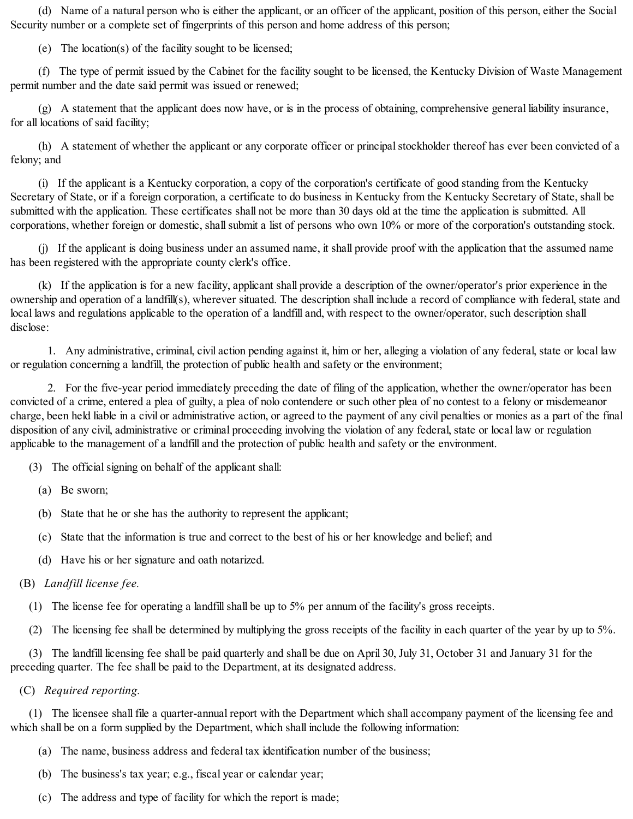(d) Name of a natural person who is either the applicant, or an officer of the applicant, position of this person, either the Social Security number or a complete set of fingerprints of this person and home address of this person;

(e) The location(s) of the facility sought to be licensed;

(f) The type of permit issued by the Cabinet for the facility sought to be licensed, the Kentucky Division of Waste Management permit number and the date said permit was issued or renewed;

(g) A statement that the applicant does now have, or is in the process of obtaining, comprehensive general liability insurance, for all locations of said facility;

(h) A statement of whether the applicant or any corporate officer or principalstockholder thereof has ever been convicted of a felony; and

(i) If the applicant is a Kentucky corporation, a copy of the corporation's certificate of good standing from the Kentucky Secretary of State, or if a foreign corporation, a certificate to do business in Kentucky from the Kentucky Secretary of State, shall be submitted with the application. These certificates shall not be more than 30 days old at the time the application is submitted. All corporations, whether foreign or domestic, shall submit a list of persons who own 10% or more of the corporation's outstanding stock.

(j) If the applicant is doing business under an assumed name, it shall provide proof with the application that the assumed name has been registered with the appropriate county clerk's office.

(k) If the application is for a new facility, applicant shall provide a description of the owner/operator's prior experience in the ownership and operation of a landfill(s), wherever situated. The description shall include a record of compliance with federal, state and local laws and regulations applicable to the operation of a landfill and, with respect to the owner/operator, such description shall disclose:

1. Any administrative, criminal, civil action pending against it, him or her, alleging a violation of any federal, state or local law or regulation concerning a landfill, the protection of public health and safety or the environment;

2. For the five-year period immediately preceding the date of filing of the application, whether the owner/operator has been convicted of a crime, entered a plea of guilty, a plea of nolo contendere or such other plea of no contest to a felony or misdemeanor charge, been held liable in a civil or administrative action, or agreed to the payment of any civil penalties or monies as a part of the final disposition of any civil, administrative or criminal proceeding involving the violation of any federal, state or local law or regulation applicable to the management of a landfill and the protection of public health and safety or the environment.

- (3) The official signing on behalf of the applicant shall:
	- (a) Be sworn;
	- (b) State that he or she has the authority to represent the applicant;
	- (c) State that the information is true and correct to the best of his or her knowledge and belief; and
	- (d) Have his or her signature and oath notarized.

### (B) *Landfill license fee.*

- (1) The license fee for operating a landfillshall be up to 5% per annum of the facility's gross receipts.
- (2) The licensing fee shall be determined by multiplying the gross receipts of the facility in each quarter of the year by up to 5%.

(3) The landfill licensing fee shall be paid quarterly and shall be due on April 30, July 31, October 31 and January 31 for the preceding quarter. The fee shall be paid to the Department, at its designated address.

(C) *Required reporting.*

(1) The licensee shall file a quarter-annual report with the Department which shall accompany payment of the licensing fee and which shall be on a form supplied by the Department, which shall include the following information:

- (a) The name, business address and federal tax identification number of the business;
- (b) The business's tax year; e.g., fiscal year or calendar year;
- (c) The address and type of facility for which the report is made;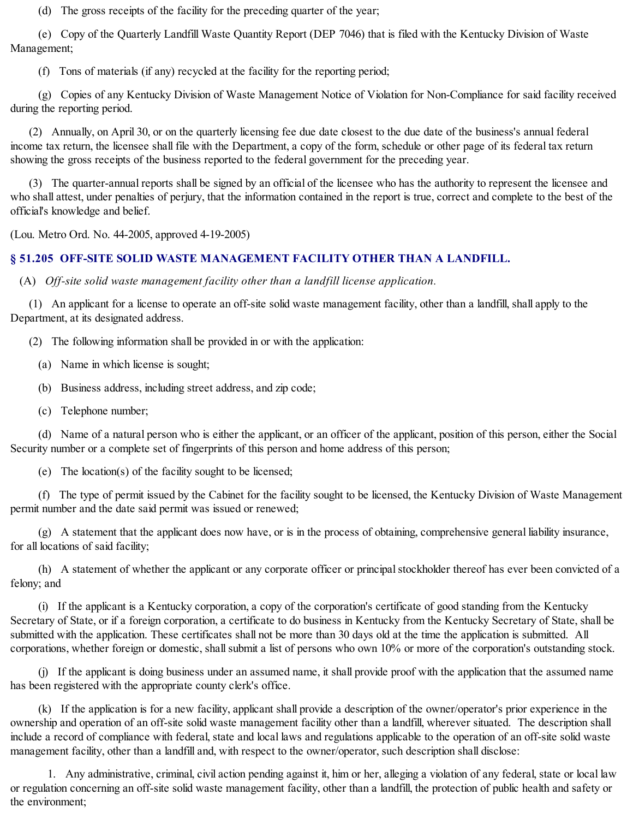(d) The gross receipts of the facility for the preceding quarter of the year;

(e) Copy of the Quarterly Landfill Waste Quantity Report (DEP 7046) that is filed with the Kentucky Division of Waste Management;

(f) Tons of materials (if any) recycled at the facility for the reporting period;

(g) Copies of any Kentucky Division of Waste Management Notice of Violation for Non-Compliance for said facility received during the reporting period.

(2) Annually, on April 30, or on the quarterly licensing fee due date closest to the due date of the business's annual federal income tax return, the licensee shall file with the Department, a copy of the form, schedule or other page of its federal tax return showing the gross receipts of the business reported to the federal government for the preceding year.

(3) The quarter-annual reports shall be signed by an official of the licensee who has the authority to represent the licensee and who shall attest, under penalties of perjury, that the information contained in the report is true, correct and complete to the best of the official's knowledge and belief.

(Lou. Metro Ord. No. 44-2005, approved 4-19-2005)

# **§ 51.205 OFF-SITE SOLID WASTE MANAGEMENT FACILITY OTHER THAN A LANDFILL.**

(A) *Off-site solid waste management facility other than a landfill license application.*

(1) An applicant for a license to operate an off-site solid waste management facility, other than a landfill, shall apply to the Department, at its designated address.

(2) The following information shall be provided in or with the application:

(a) Name in which license is sought;

(b) Business address, including street address, and zip code;

(c) Telephone number;

(d) Name of a natural person who is either the applicant, or an officer of the applicant, position of this person, either the Social Security number or a complete set of fingerprints of this person and home address of this person;

(e) The location(s) of the facility sought to be licensed;

(f) The type of permit issued by the Cabinet for the facility sought to be licensed, the Kentucky Division of Waste Management permit number and the date said permit was issued or renewed;

(g) A statement that the applicant does now have, or is in the process of obtaining, comprehensive general liability insurance, for all locations of said facility;

(h) A statement of whether the applicant or any corporate officer or principalstockholder thereof has ever been convicted of a felony; and

(i) If the applicant is a Kentucky corporation, a copy of the corporation's certificate of good standing from the Kentucky Secretary of State, or if a foreign corporation, a certificate to do business in Kentucky from the Kentucky Secretary of State, shall be submitted with the application. These certificates shall not be more than 30 days old at the time the application is submitted. All corporations, whether foreign or domestic, shall submit a list of persons who own 10% or more of the corporation's outstanding stock.

(j) If the applicant is doing business under an assumed name, it shall provide proof with the application that the assumed name has been registered with the appropriate county clerk's office.

(k) If the application is for a new facility, applicant shall provide a description of the owner/operator's prior experience in the ownership and operation of an off-site solid waste management facility other than a landfill, wherever situated. The description shall include a record of compliance with federal, state and local laws and regulations applicable to the operation of an off-site solid waste management facility, other than a landfill and, with respect to the owner/operator, such description shall disclose:

1. Any administrative, criminal, civil action pending against it, him or her, alleging a violation of any federal, state or local law or regulation concerning an off-site solid waste management facility, other than a landfill, the protection of public health and safety or the environment;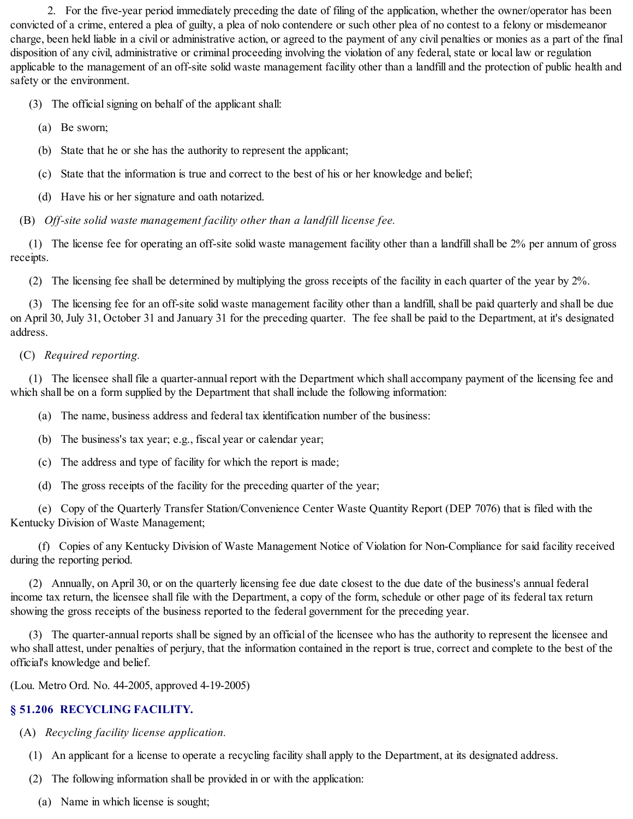2. For the five-year period immediately preceding the date of filing of the application, whether the owner/operator has been convicted of a crime, entered a plea of guilty, a plea of nolo contendere or such other plea of no contest to a felony or misdemeanor charge, been held liable in a civil or administrative action, or agreed to the payment of any civil penalties or monies as a part of the final disposition of any civil, administrative or criminal proceeding involving the violation of any federal, state or local law or regulation applicable to the management of an off-site solid waste management facility other than a landfill and the protection of public health and safety or the environment.

(3) The official signing on behalf of the applicant shall:

- (a) Be sworn;
- (b) State that he or she has the authority to represent the applicant;
- (c) State that the information is true and correct to the best of his or her knowledge and belief;
- (d) Have his or her signature and oath notarized.

(B) *Off-site solid waste management facility other than a landfill license fee.*

(1) The license fee for operating an off-site solid waste management facility other than a landfillshall be 2% per annum of gross receipts.

(2) The licensing fee shall be determined by multiplying the gross receipts of the facility in each quarter of the year by 2%.

(3) The licensing fee for an off-site solid waste management facility other than a landfill, shall be paid quarterly and shall be due on April 30, July 31, October 31 and January 31 for the preceding quarter. The fee shall be paid to the Department, at it's designated address.

### (C) *Required reporting.*

(1) The licensee shall file a quarter-annual report with the Department which shall accompany payment of the licensing fee and which shall be on a form supplied by the Department that shall include the following information:

(a) The name, business address and federal tax identification number of the business:

- (b) The business's tax year; e.g., fiscal year or calendar year;
- (c) The address and type of facility for which the report is made;
- (d) The gross receipts of the facility for the preceding quarter of the year;

(e) Copy of the Quarterly Transfer Station/Convenience Center Waste Quantity Report (DEP 7076) that is filed with the Kentucky Division of Waste Management;

(f) Copies of any Kentucky Division of Waste Management Notice of Violation for Non-Compliance for said facility received during the reporting period.

(2) Annually, on April 30, or on the quarterly licensing fee due date closest to the due date of the business's annual federal income tax return, the licensee shall file with the Department, a copy of the form, schedule or other page of its federal tax return showing the gross receipts of the business reported to the federal government for the preceding year.

(3) The quarter-annual reports shall be signed by an official of the licensee who has the authority to represent the licensee and who shall attest, under penalties of perjury, that the information contained in the report is true, correct and complete to the best of the official's knowledge and belief.

(Lou. Metro Ord. No. 44-2005, approved 4-19-2005)

# **§ 51.206 RECYCLING FACILITY.**

- (A) *Recycling facility license application.*
	- (1) An applicant for a license to operate a recycling facility shall apply to the Department, at its designated address.
	- (2) The following information shall be provided in or with the application:
		- (a) Name in which license is sought;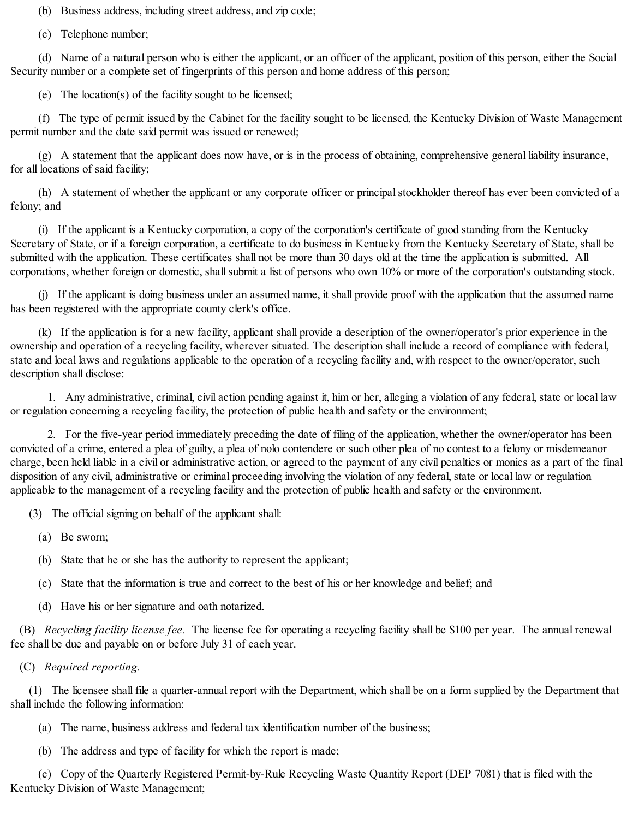(b) Business address, including street address, and zip code;

(c) Telephone number;

(d) Name of a natural person who is either the applicant, or an officer of the applicant, position of this person, either the Social Security number or a complete set of fingerprints of this person and home address of this person;

(e) The location(s) of the facility sought to be licensed;

(f) The type of permit issued by the Cabinet for the facility sought to be licensed, the Kentucky Division of Waste Management permit number and the date said permit was issued or renewed;

(g) A statement that the applicant does now have, or is in the process of obtaining, comprehensive general liability insurance, for all locations of said facility;

(h) A statement of whether the applicant or any corporate officer or principalstockholder thereof has ever been convicted of a felony; and

(i) If the applicant is a Kentucky corporation, a copy of the corporation's certificate of good standing from the Kentucky Secretary of State, or if a foreign corporation, a certificate to do business in Kentucky from the Kentucky Secretary of State, shall be submitted with the application. These certificates shall not be more than 30 days old at the time the application is submitted. All corporations, whether foreign or domestic, shall submit a list of persons who own 10% or more of the corporation's outstanding stock.

(j) If the applicant is doing business under an assumed name, it shall provide proof with the application that the assumed name has been registered with the appropriate county clerk's office.

(k) If the application is for a new facility, applicant shall provide a description of the owner/operator's prior experience in the ownership and operation of a recycling facility, wherever situated. The description shall include a record of compliance with federal, state and local laws and regulations applicable to the operation of a recycling facility and, with respect to the owner/operator, such description shall disclose:

1. Any administrative, criminal, civil action pending against it, him or her, alleging a violation of any federal, state or local law or regulation concerning a recycling facility, the protection of public health and safety or the environment;

2. For the five-year period immediately preceding the date of filing of the application, whether the owner/operator has been convicted of a crime, entered a plea of guilty, a plea of nolo contendere or such other plea of no contest to a felony or misdemeanor charge, been held liable in a civil or administrative action, or agreed to the payment of any civil penalties or monies as a part of the final disposition of any civil, administrative or criminal proceeding involving the violation of any federal, state or local law or regulation applicable to the management of a recycling facility and the protection of public health and safety or the environment.

(3) The official signing on behalf of the applicant shall:

- (a) Be sworn;
- (b) State that he or she has the authority to represent the applicant;
- (c) State that the information is true and correct to the best of his or her knowledge and belief; and
- (d) Have his or her signature and oath notarized.

(B) *Recycling facility license fee.* The license fee for operating a recycling facility shall be \$100 per year. The annual renewal fee shall be due and payable on or before July 31 of each year.

(C) *Required reporting.*

(1) The licensee shall file a quarter-annual report with the Department, which shall be on a form supplied by the Department that shall include the following information:

- (a) The name, business address and federal tax identification number of the business;
- (b) The address and type of facility for which the report is made;

(c) Copy of the Quarterly Registered Permit-by-Rule Recycling Waste Quantity Report (DEP 7081) that is filed with the Kentucky Division of Waste Management;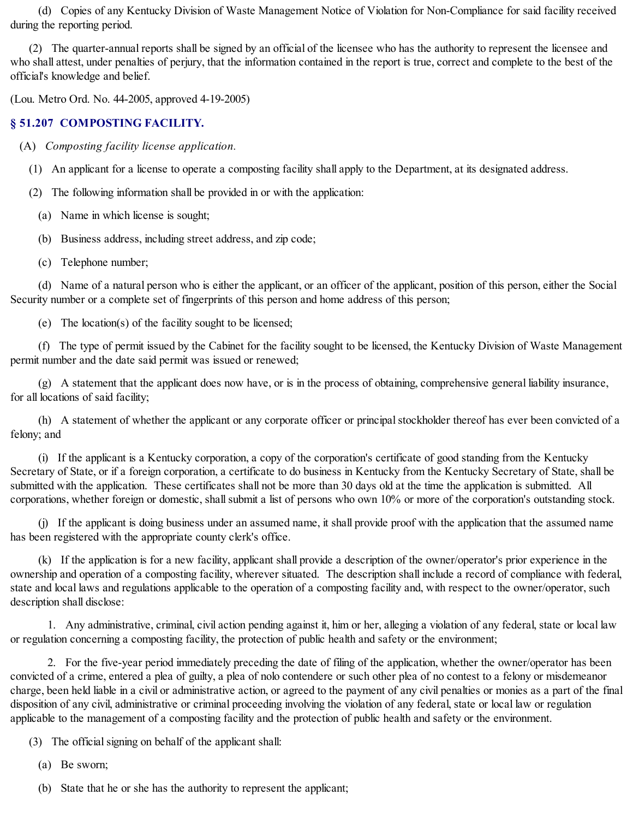(d) Copies of any Kentucky Division of Waste Management Notice of Violation for Non-Compliance for said facility received during the reporting period.

(2) The quarter-annual reports shall be signed by an official of the licensee who has the authority to represent the licensee and who shall attest, under penalties of perjury, that the information contained in the report is true, correct and complete to the best of the official's knowledge and belief.

(Lou. Metro Ord. No. 44-2005, approved 4-19-2005)

#### **§ 51.207 COMPOSTING FACILITY.**

(A) *Composting facility license application.*

- (1) An applicant for a license to operate a composting facility shall apply to the Department, at its designated address.
- (2) The following information shall be provided in or with the application:
	- (a) Name in which license is sought;
	- (b) Business address, including street address, and zip code;
	- (c) Telephone number;

(d) Name of a natural person who is either the applicant, or an officer of the applicant, position of this person, either the Social Security number or a complete set of fingerprints of this person and home address of this person;

(e) The location(s) of the facility sought to be licensed;

(f) The type of permit issued by the Cabinet for the facility sought to be licensed, the Kentucky Division of Waste Management permit number and the date said permit was issued or renewed;

(g) A statement that the applicant does now have, or is in the process of obtaining, comprehensive general liability insurance, for all locations of said facility;

(h) A statement of whether the applicant or any corporate officer or principalstockholder thereof has ever been convicted of a felony; and

(i) If the applicant is a Kentucky corporation, a copy of the corporation's certificate of good standing from the Kentucky Secretary of State, or if a foreign corporation, a certificate to do business in Kentucky from the Kentucky Secretary of State, shall be submitted with the application. These certificates shall not be more than 30 days old at the time the application is submitted. All corporations, whether foreign or domestic, shall submit a list of persons who own 10% or more of the corporation's outstanding stock.

(j) If the applicant is doing business under an assumed name, it shall provide proof with the application that the assumed name has been registered with the appropriate county clerk's office.

(k) If the application is for a new facility, applicant shall provide a description of the owner/operator's prior experience in the ownership and operation of a composting facility, wherever situated. The description shall include a record of compliance with federal, state and local laws and regulations applicable to the operation of a composting facility and, with respect to the owner/operator, such description shall disclose:

1. Any administrative, criminal, civil action pending against it, him or her, alleging a violation of any federal, state or local law or regulation concerning a composting facility, the protection of public health and safety or the environment;

2. For the five-year period immediately preceding the date of filing of the application, whether the owner/operator has been convicted of a crime, entered a plea of guilty, a plea of nolo contendere or such other plea of no contest to a felony or misdemeanor charge, been held liable in a civil or administrative action, or agreed to the payment of any civil penalties or monies as a part of the final disposition of any civil, administrative or criminal proceeding involving the violation of any federal, state or local law or regulation applicable to the management of a composting facility and the protection of public health and safety or the environment.

(3) The official signing on behalf of the applicant shall:

(a) Be sworn;

(b) State that he or she has the authority to represent the applicant;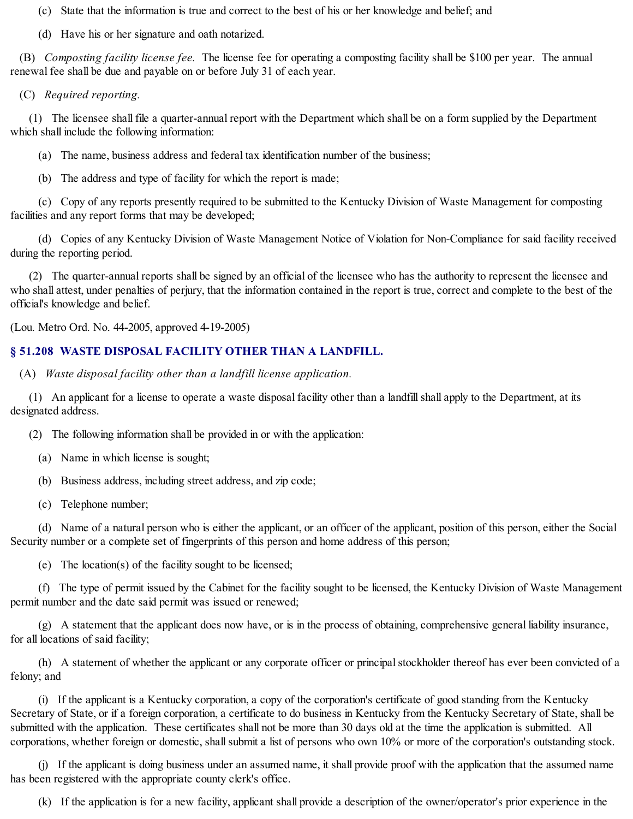(c) State that the information is true and correct to the best of his or her knowledge and belief; and

(d) Have his or her signature and oath notarized.

(B) *Composting facility license fee.* The license fee for operating a composting facility shall be \$100 per year. The annual renewal fee shall be due and payable on or before July 31 of each year.

(C) *Required reporting.*

(1) The licensee shall file a quarter-annual report with the Department which shall be on a form supplied by the Department which shall include the following information:

(a) The name, business address and federal tax identification number of the business;

(b) The address and type of facility for which the report is made;

(c) Copy of any reports presently required to be submitted to the Kentucky Division of Waste Management for composting facilities and any report forms that may be developed;

(d) Copies of any Kentucky Division of Waste Management Notice of Violation for Non-Compliance for said facility received during the reporting period.

(2) The quarter-annual reports shall be signed by an official of the licensee who has the authority to represent the licensee and who shall attest, under penalties of perjury, that the information contained in the report is true, correct and complete to the best of the official's knowledge and belief.

(Lou. Metro Ord. No. 44-2005, approved 4-19-2005)

### **§ 51.208 WASTE DISPOSAL FACILITY OTHER THAN A LANDFILL.**

(A) *Waste disposal facility other than a landfill license application.*

(1) An applicant for a license to operate a waste disposal facility other than a landfillshall apply to the Department, at its designated address.

(2) The following information shall be provided in or with the application:

(a) Name in which license is sought;

(b) Business address, including street address, and zip code;

(c) Telephone number;

(d) Name of a natural person who is either the applicant, or an officer of the applicant, position of this person, either the Social Security number or a complete set of fingerprints of this person and home address of this person;

(e) The location(s) of the facility sought to be licensed;

(f) The type of permit issued by the Cabinet for the facility sought to be licensed, the Kentucky Division of Waste Management permit number and the date said permit was issued or renewed;

(g) A statement that the applicant does now have, or is in the process of obtaining, comprehensive general liability insurance, for all locations of said facility;

(h) A statement of whether the applicant or any corporate officer or principalstockholder thereof has ever been convicted of a felony; and

(i) If the applicant is a Kentucky corporation, a copy of the corporation's certificate of good standing from the Kentucky Secretary of State, or if a foreign corporation, a certificate to do business in Kentucky from the Kentucky Secretary of State, shall be submitted with the application. These certificates shall not be more than 30 days old at the time the application is submitted. All corporations, whether foreign or domestic, shall submit a list of persons who own 10% or more of the corporation's outstanding stock.

(j) If the applicant is doing business under an assumed name, it shall provide proof with the application that the assumed name has been registered with the appropriate county clerk's office.

(k) If the application is for a new facility, applicant shall provide a description of the owner/operator's prior experience in the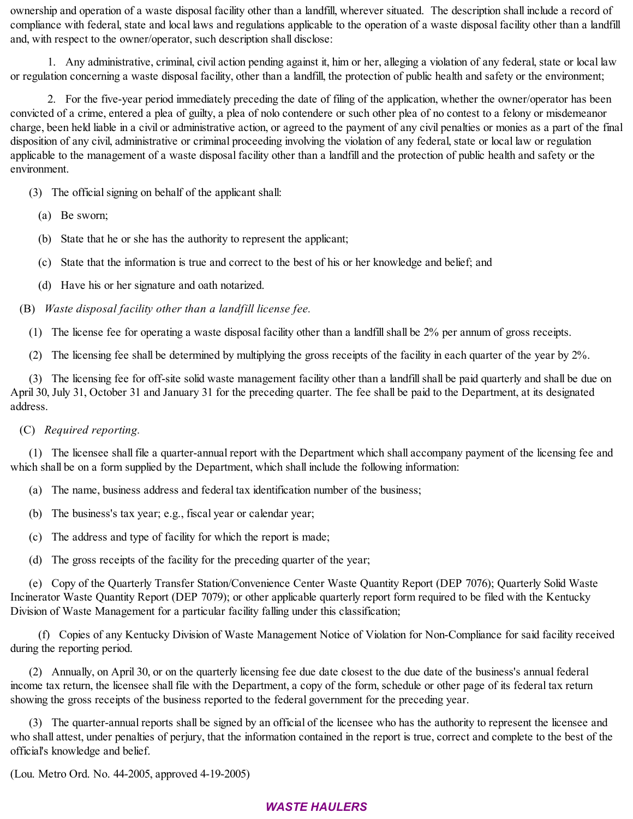ownership and operation of a waste disposal facility other than a landfill, wherever situated. The description shall include a record of compliance with federal, state and local laws and regulations applicable to the operation of a waste disposal facility other than a landfill and, with respect to the owner/operator, such description shall disclose:

1. Any administrative, criminal, civil action pending against it, him or her, alleging a violation of any federal, state or local law or regulation concerning a waste disposal facility, other than a landfill, the protection of public health and safety or the environment;

2. For the five-year period immediately preceding the date of filing of the application, whether the owner/operator has been convicted of a crime, entered a plea of guilty, a plea of nolo contendere or such other plea of no contest to a felony or misdemeanor charge, been held liable in a civil or administrative action, or agreed to the payment of any civil penalties or monies as a part of the final disposition of any civil, administrative or criminal proceeding involving the violation of any federal, state or local law or regulation applicable to the management of a waste disposal facility other than a landfill and the protection of public health and safety or the environment.

- (3) The official signing on behalf of the applicant shall:
	- (a) Be sworn;
	- (b) State that he or she has the authority to represent the applicant;
	- (c) State that the information is true and correct to the best of his or her knowledge and belief; and
	- (d) Have his or her signature and oath notarized.
- (B) *Waste disposal facility other than a landfill license fee.*
	- (1) The license fee for operating a waste disposal facility other than a landfillshall be 2% per annum of gross receipts.
	- (2) The licensing fee shall be determined by multiplying the gross receipts of the facility in each quarter of the year by 2%.

(3) The licensing fee for off-site solid waste management facility other than a landfillshall be paid quarterly and shall be due on April 30, July 31, October 31 and January 31 for the preceding quarter. The fee shall be paid to the Department, at its designated address.

### (C) *Required reporting.*

(1) The licensee shall file a quarter-annual report with the Department which shall accompany payment of the licensing fee and which shall be on a form supplied by the Department, which shall include the following information:

- (a) The name, business address and federal tax identification number of the business;
- (b) The business's tax year; e.g., fiscal year or calendar year;
- (c) The address and type of facility for which the report is made;
- (d) The gross receipts of the facility for the preceding quarter of the year;

(e) Copy of the Quarterly Transfer Station/Convenience Center Waste Quantity Report (DEP 7076); Quarterly Solid Waste Incinerator Waste Quantity Report (DEP 7079); or other applicable quarterly report form required to be filed with the Kentucky Division of Waste Management for a particular facility falling under this classification;

(f) Copies of any Kentucky Division of Waste Management Notice of Violation for Non-Compliance for said facility received during the reporting period.

(2) Annually, on April 30, or on the quarterly licensing fee due date closest to the due date of the business's annual federal income tax return, the licensee shall file with the Department, a copy of the form, schedule or other page of its federal tax return showing the gross receipts of the business reported to the federal government for the preceding year.

(3) The quarter-annual reports shall be signed by an official of the licensee who has the authority to represent the licensee and who shall attest, under penalties of perjury, that the information contained in the report is true, correct and complete to the best of the official's knowledge and belief.

(Lou. Metro Ord. No. 44-2005, approved 4-19-2005)

# *WASTE HAULERS*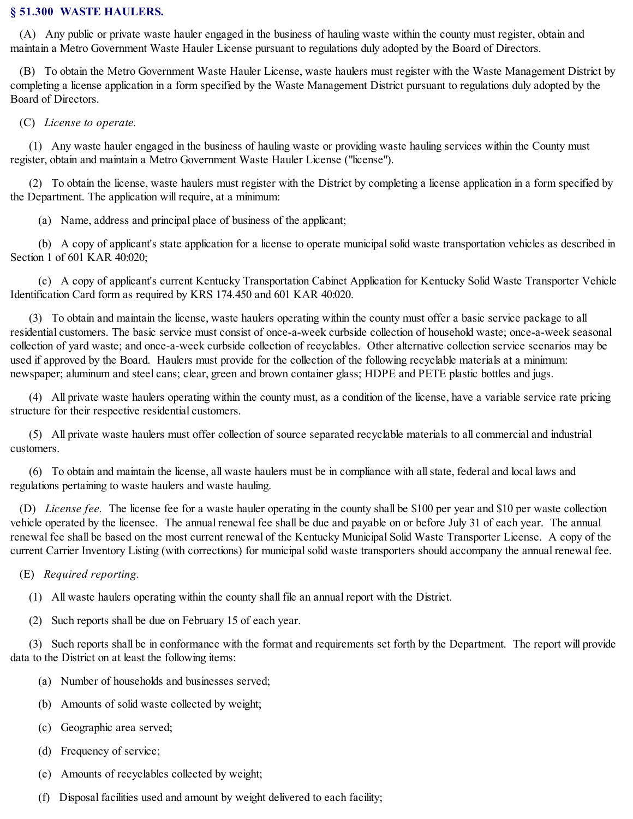#### **§ 51.300 WASTE HAULERS.**

(A) Any public or private waste hauler engaged in the business of hauling waste within the county must register, obtain and maintain a Metro Government Waste Hauler License pursuant to regulations duly adopted by the Board of Directors.

(B) To obtain the Metro Government Waste Hauler License, waste haulers must register with the Waste Management District by completing a license application in a form specified by the Waste Management District pursuant to regulations duly adopted by the Board of Directors.

(C) *License to operate.*

(1) Any waste hauler engaged in the business of hauling waste or providing waste hauling services within the County must register, obtain and maintain a Metro Government Waste Hauler License ("license").

(2) To obtain the license, waste haulers must register with the District by completing a license application in a form specified by the Department. The application will require, at a minimum:

(a) Name, address and principal place of business of the applicant;

(b) A copy of applicant's state application for a license to operate municipalsolid waste transportation vehicles as described in Section 1 of 601 KAR 40:020;

(c) A copy of applicant's current Kentucky Transportation Cabinet Application for Kentucky Solid Waste Transporter Vehicle Identification Card form as required by KRS 174.450 and 601 KAR 40:020.

(3) To obtain and maintain the license, waste haulers operating within the county must offer a basic service package to all residential customers. The basic service must consist of once-a-week curbside collection of household waste; once-a-week seasonal collection of yard waste; and once-a-week curbside collection of recyclables. Other alternative collection service scenarios may be used if approved by the Board. Haulers must provide for the collection of the following recyclable materials at a minimum: newspaper; aluminum and steel cans; clear, green and brown container glass; HDPE and PETE plastic bottles and jugs.

(4) All private waste haulers operating within the county must, as a condition of the license, have a variable service rate pricing structure for their respective residential customers.

(5) All private waste haulers must offer collection of source separated recyclable materials to all commercial and industrial customers.

(6) To obtain and maintain the license, all waste haulers must be in compliance with allstate, federal and local laws and regulations pertaining to waste haulers and waste hauling.

(D) *License fee.* The license fee for a waste hauler operating in the county shall be \$100 per year and \$10 per waste collection vehicle operated by the licensee. The annual renewal fee shall be due and payable on or before July 31 of each year. The annual renewal fee shall be based on the most current renewal of the Kentucky Municipal Solid Waste Transporter License. A copy of the current Carrier Inventory Listing (with corrections) for municipalsolid waste transporters should accompany the annual renewal fee.

(E) *Required reporting.*

(1) All waste haulers operating within the county shall file an annual report with the District.

(2) Such reports shall be due on February 15 of each year.

(3) Such reports shall be in conformance with the format and requirements set forth by the Department. The report will provide data to the District on at least the following items:

- (a) Number of households and businesses served;
- (b) Amounts of solid waste collected by weight;
- (c) Geographic area served;
- (d) Frequency of service;
- (e) Amounts of recyclables collected by weight;
- (f) Disposal facilities used and amount by weight delivered to each facility;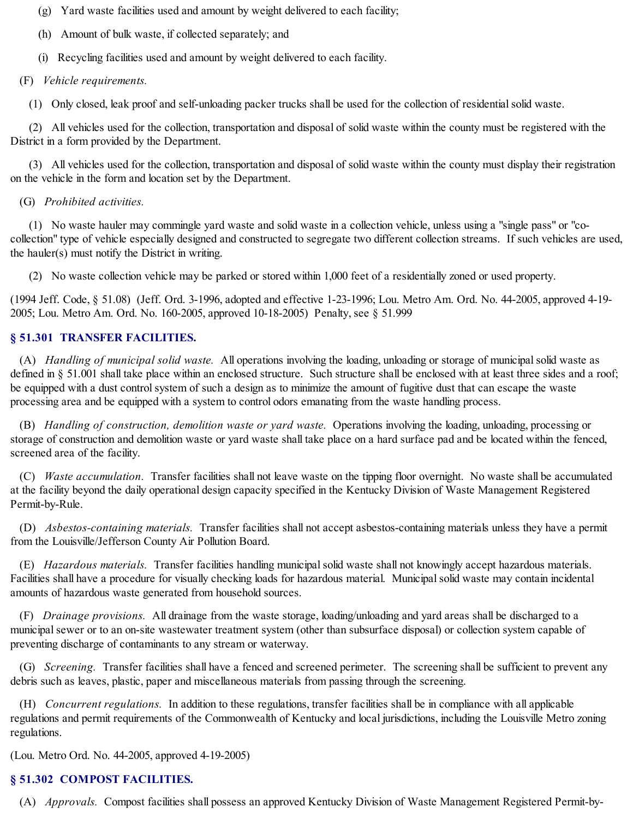(g) Yard waste facilities used and amount by weight delivered to each facility;

(h) Amount of bulk waste, if collected separately; and

(i) Recycling facilities used and amount by weight delivered to each facility.

(F) *Vehicle requirements.*

(1) Only closed, leak proof and self-unloading packer trucks shall be used for the collection of residentialsolid waste.

(2) All vehicles used for the collection, transportation and disposal of solid waste within the county must be registered with the District in a form provided by the Department.

(3) All vehicles used for the collection, transportation and disposal of solid waste within the county must display their registration on the vehicle in the form and location set by the Department.

# (G) *Prohibited activities.*

(1) No waste hauler may commingle yard waste and solid waste in a collection vehicle, unless using a "single pass" or "cocollection" type of vehicle especially designed and constructed to segregate two different collection streams. If such vehicles are used, the hauler(s) must notify the District in writing.

(2) No waste collection vehicle may be parked or stored within 1,000 feet of a residentially zoned or used property.

(1994 Jeff. Code, § 51.08) (Jeff. Ord. 3-1996, adopted and effective 1-23-1996; Lou. Metro Am. Ord. No. 44-2005, approved 4-19- 2005; Lou. Metro Am. Ord. No. 160-2005, approved 10-18-2005) Penalty, see § 51.999

# **§ 51.301 TRANSFER FACILITIES.**

(A) *Handling of municipal solid waste.* All operations involving the loading, unloading or storage of municipalsolid waste as defined in § 51.001 shall take place within an enclosed structure. Such structure shall be enclosed with at least three sides and a roof; be equipped with a dust control system of such a design as to minimize the amount of fugitive dust that can escape the waste processing area and be equipped with a system to control odors emanating from the waste handling process.

(B) *Handling of construction, demolition waste or yard waste.* Operations involving the loading, unloading, processing or storage of construction and demolition waste or yard waste shall take place on a hard surface pad and be located within the fenced, screened area of the facility.

(C) *Waste accumulation.* Transfer facilities shall not leave waste on the tipping floor overnight. No waste shall be accumulated at the facility beyond the daily operational design capacity specified in the Kentucky Division of Waste Management Registered Permit-by-Rule.

(D) *Asbestos-containing materials.* Transfer facilities shall not accept asbestos-containing materials unless they have a permit from the Louisville/Jefferson County Air Pollution Board.

(E) *Hazardous materials.* Transfer facilities handling municipalsolid waste shall not knowingly accept hazardous materials. Facilities shall have a procedure for visually checking loads for hazardous material. Municipalsolid waste may contain incidental amounts of hazardous waste generated from household sources.

(F) *Drainage provisions.* All drainage from the waste storage, loading/unloading and yard areas shall be discharged to a municipalsewer or to an on-site wastewater treatment system (other than subsurface disposal) or collection system capable of preventing discharge of contaminants to any stream or waterway.

(G) *Screening.* Transfer facilities shall have a fenced and screened perimeter. The screening shall be sufficient to prevent any debris such as leaves, plastic, paper and miscellaneous materials from passing through the screening.

(H) *Concurrent regulations.* In addition to these regulations, transfer facilities shall be in compliance with all applicable regulations and permit requirements of the Commonwealth of Kentucky and local jurisdictions, including the Louisville Metro zoning regulations.

(Lou. Metro Ord. No. 44-2005, approved 4-19-2005)

# **§ 51.302 COMPOST FACILITIES.**

(A) *Approvals.* Compost facilities shall possess an approved Kentucky Division of Waste Management Registered Permit-by-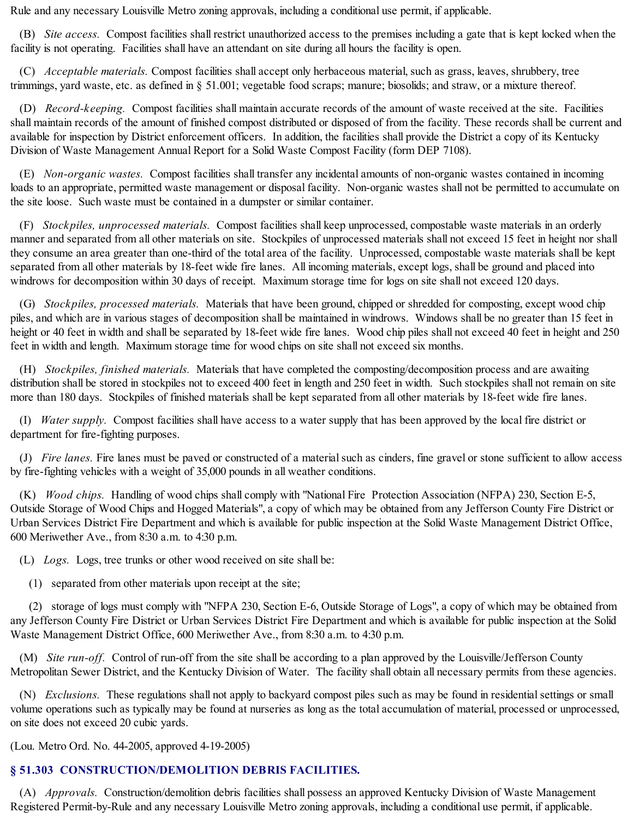Rule and any necessary Louisville Metro zoning approvals, including a conditional use permit, if applicable.

(B) *Site access.* Compost facilities shall restrict unauthorized access to the premises including a gate that is kept locked when the facility is not operating. Facilities shall have an attendant on site during all hours the facility is open.

(C) *Acceptable materials.* Compost facilities shall accept only herbaceous material, such as grass, leaves, shrubbery, tree trimmings, yard waste, etc. as defined in § 51.001; vegetable food scraps; manure; biosolids; and straw, or a mixture thereof.

(D) *Record-keeping.* Compost facilities shall maintain accurate records of the amount of waste received at the site. Facilities shall maintain records of the amount of finished compost distributed or disposed of from the facility. These records shall be current and available for inspection by District enforcement officers. In addition, the facilities shall provide the District a copy of its Kentucky Division of Waste Management Annual Report for a Solid Waste Compost Facility (form DEP 7108).

(E) *Non-organic wastes.* Compost facilities shall transfer any incidental amounts of non-organic wastes contained in incoming loads to an appropriate, permitted waste management or disposal facility. Non-organic wastes shall not be permitted to accumulate on the site loose. Such waste must be contained in a dumpster or similar container.

(F) *Stockpiles, unprocessed materials.* Compost facilities shall keep unprocessed, compostable waste materials in an orderly manner and separated from all other materials on site. Stockpiles of unprocessed materials shall not exceed 15 feet in height nor shall they consume an area greater than one-third of the total area of the facility. Unprocessed, compostable waste materials shall be kept separated from all other materials by 18-feet wide fire lanes. All incoming materials, except logs, shall be ground and placed into windrows for decomposition within 30 days of receipt. Maximum storage time for logs on site shall not exceed 120 days.

(G) *Stockpiles, processed materials.* Materials that have been ground, chipped or shredded for composting, except wood chip piles, and which are in various stages of decomposition shall be maintained in windrows. Windows shall be no greater than 15 feet in height or 40 feet in width and shall be separated by 18-feet wide fire lanes. Wood chip piles shall not exceed 40 feet in height and 250 feet in width and length. Maximum storage time for wood chips on site shall not exceed six months.

(H) *Stockpiles, finished materials.* Materials that have completed the composting/decomposition process and are awaiting distribution shall be stored in stockpiles not to exceed 400 feet in length and 250 feet in width. Such stockpiles shall not remain on site more than 180 days. Stockpiles of finished materials shall be kept separated from all other materials by 18-feet wide fire lanes.

(I) *Water supply.* Compost facilities shall have access to a water supply that has been approved by the local fire district or department for fire-fighting purposes.

(J) *Fire lanes.* Fire lanes must be paved or constructed of a materialsuch as cinders, fine gravel or stone sufficient to allow access by fire-fighting vehicles with a weight of 35,000 pounds in all weather conditions.

(K) *Wood chips.* Handling of wood chips shall comply with "National Fire Protection Association (NFPA) 230, Section E-5, Outside Storage of Wood Chips and Hogged Materials", a copy of which may be obtained from any Jefferson County Fire District or Urban Services District Fire Department and which is available for public inspection at the Solid Waste Management District Office, 600 Meriwether Ave., from 8:30 a.m. to 4:30 p.m.

(L) *Logs.* Logs, tree trunks or other wood received on site shall be:

(1) separated from other materials upon receipt at the site;

(2) storage of logs must comply with "NFPA 230, Section E-6, Outside Storage of Logs", a copy of which may be obtained from any Jefferson County Fire District or Urban Services District Fire Department and which is available for public inspection at the Solid Waste Management District Office, 600 Meriwether Ave., from 8:30 a.m. to 4:30 p.m.

(M) *Site run-off.* Control of run-off from the site shall be according to a plan approved by the Louisville/Jefferson County Metropolitan Sewer District, and the Kentucky Division of Water. The facility shall obtain all necessary permits from these agencies.

(N) *Exclusions.* These regulations shall not apply to backyard compost piles such as may be found in residentialsettings or small volume operations such as typically may be found at nurseries as long as the total accumulation of material, processed or unprocessed, on site does not exceed 20 cubic yards.

(Lou. Metro Ord. No. 44-2005, approved 4-19-2005)

# **§ 51.303 CONSTRUCTION/DEMOLITION DEBRIS FACILITIES.**

(A) *Approvals.* Construction/demolition debris facilities shall possess an approved Kentucky Division of Waste Management Registered Permit-by-Rule and any necessary Louisville Metro zoning approvals, including a conditional use permit, if applicable.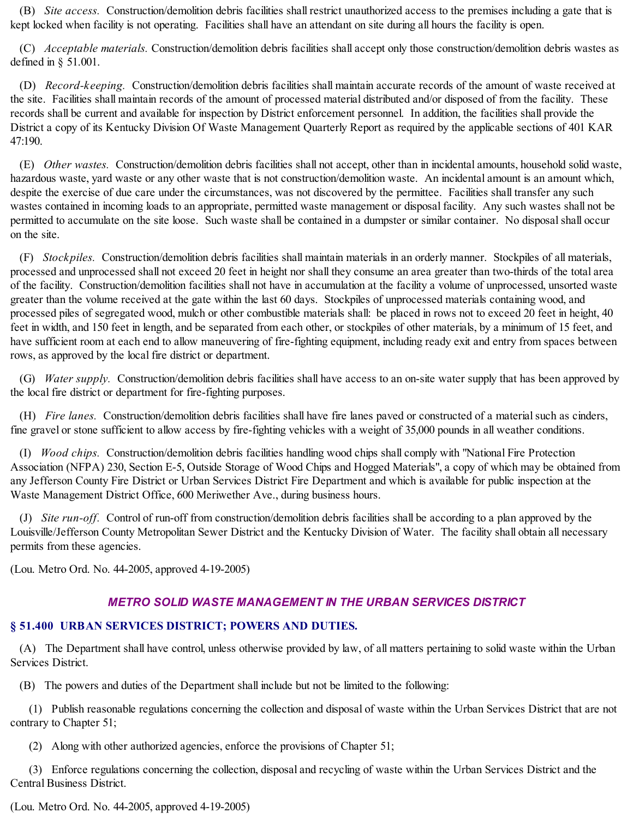(B) *Site access.* Construction/demolition debris facilities shall restrict unauthorized access to the premises including a gate that is kept locked when facility is not operating. Facilities shall have an attendant on site during all hours the facility is open.

(C) *Acceptable materials.* Construction/demolition debris facilities shall accept only those construction/demolition debris wastes as defined in § 51.001.

(D) *Record-keeping.* Construction/demolition debris facilities shall maintain accurate records of the amount of waste received at the site. Facilities shall maintain records of the amount of processed material distributed and/or disposed of from the facility. These records shall be current and available for inspection by District enforcement personnel. In addition, the facilities shall provide the District a copy of its Kentucky Division Of Waste Management Quarterly Report as required by the applicable sections of 401 KAR 47:190.

(E) *Other wastes.* Construction/demolition debris facilities shall not accept, other than in incidental amounts, household solid waste, hazardous waste, yard waste or any other waste that is not construction/demolition waste. An incidental amount is an amount which, despite the exercise of due care under the circumstances, was not discovered by the permittee. Facilities shall transfer any such wastes contained in incoming loads to an appropriate, permitted waste management or disposal facility. Any such wastes shall not be permitted to accumulate on the site loose. Such waste shall be contained in a dumpster or similar container. No disposalshall occur on the site.

(F) *Stockpiles.* Construction/demolition debris facilities shall maintain materials in an orderly manner. Stockpiles of all materials, processed and unprocessed shall not exceed 20 feet in height nor shall they consume an area greater than two-thirds of the total area of the facility. Construction/demolition facilities shall not have in accumulation at the facility a volume of unprocessed, unsorted waste greater than the volume received at the gate within the last 60 days. Stockpiles of unprocessed materials containing wood, and processed piles of segregated wood, mulch or other combustible materials shall: be placed in rows not to exceed 20 feet in height, 40 feet in width, and 150 feet in length, and be separated from each other, or stockpiles of other materials, by a minimum of 15 feet, and have sufficient room at each end to allow maneuvering of fire-fighting equipment, including ready exit and entry from spaces between rows, as approved by the local fire district or department.

(G) *Water supply.* Construction/demolition debris facilities shall have access to an on-site water supply that has been approved by the local fire district or department for fire-fighting purposes.

(H) *Fire lanes.* Construction/demolition debris facilities shall have fire lanes paved or constructed of a materialsuch as cinders, fine gravel or stone sufficient to allow access by fire-fighting vehicles with a weight of 35,000 pounds in all weather conditions.

(I) *Wood chips.* Construction/demolition debris facilities handling wood chips shall comply with "National Fire Protection Association (NFPA) 230, Section E-5, Outside Storage of Wood Chips and Hogged Materials", a copy of which may be obtained from any Jefferson County Fire District or Urban Services District Fire Department and which is available for public inspection at the Waste Management District Office, 600 Meriwether Ave., during business hours.

(J) *Site run-off.* Control of run-off from construction/demolition debris facilities shall be according to a plan approved by the Louisville/Jefferson County Metropolitan Sewer District and the Kentucky Division of Water. The facility shall obtain all necessary permits from these agencies.

(Lou. Metro Ord. No. 44-2005, approved 4-19-2005)

### *METRO SOLID WASTE MANAGEMENT IN THE URBAN SERVICES DISTRICT*

### **§ 51.400 URBAN SERVICES DISTRICT; POWERS AND DUTIES.**

(A) The Department shall have control, unless otherwise provided by law, of all matters pertaining to solid waste within the Urban Services District.

(B) The powers and duties of the Department shall include but not be limited to the following:

(1) Publish reasonable regulations concerning the collection and disposal of waste within the Urban Services District that are not contrary to Chapter 51;

(2) Along with other authorized agencies, enforce the provisions of Chapter 51;

(3) Enforce regulations concerning the collection, disposal and recycling of waste within the Urban Services District and the Central Business District.

(Lou. Metro Ord. No. 44-2005, approved 4-19-2005)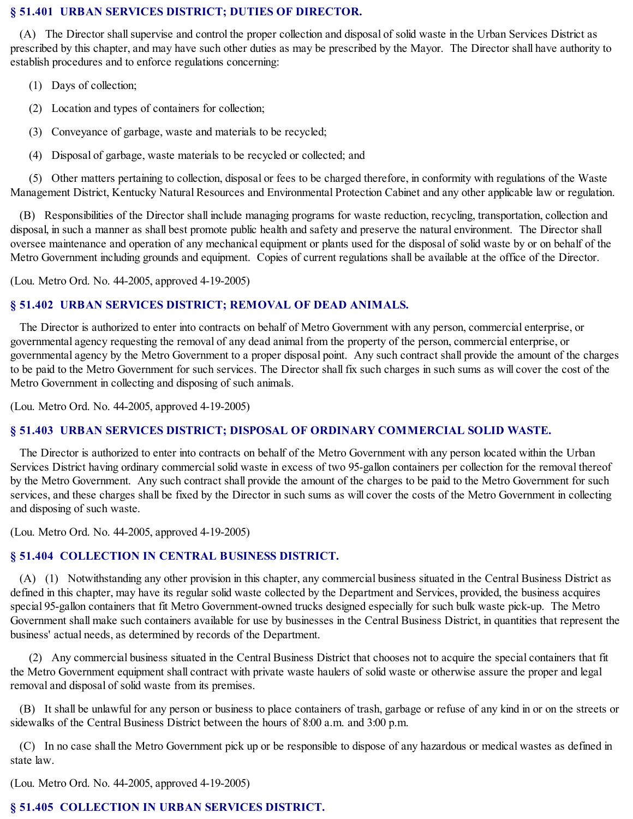### **§ 51.401 URBAN SERVICES DISTRICT; DUTIES OF DIRECTOR.**

(A) The Director shall supervise and control the proper collection and disposal of solid waste in the Urban Services District as prescribed by this chapter, and may have such other duties as may be prescribed by the Mayor. The Director shall have authority to establish procedures and to enforce regulations concerning:

- (1) Days of collection;
- (2) Location and types of containers for collection;
- (3) Conveyance of garbage, waste and materials to be recycled;
- (4) Disposal of garbage, waste materials to be recycled or collected; and

(5) Other matters pertaining to collection, disposal or fees to be charged therefore, in conformity with regulations of the Waste Management District, Kentucky Natural Resources and Environmental Protection Cabinet and any other applicable law or regulation.

(B) Responsibilities of the Director shall include managing programs for waste reduction, recycling, transportation, collection and disposal, in such a manner as shall best promote public health and safety and preserve the natural environment. The Director shall oversee maintenance and operation of any mechanical equipment or plants used for the disposal of solid waste by or on behalf of the Metro Government including grounds and equipment. Copies of current regulations shall be available at the office of the Director.

(Lou. Metro Ord. No. 44-2005, approved 4-19-2005)

### **§ 51.402 URBAN SERVICES DISTRICT; REMOVAL OF DEAD ANIMALS.**

The Director is authorized to enter into contracts on behalf of Metro Government with any person, commercial enterprise, or governmental agency requesting the removal of any dead animal from the property of the person, commercial enterprise, or governmental agency by the Metro Government to a proper disposal point. Any such contract shall provide the amount of the charges to be paid to the Metro Government for such services. The Director shall fix such charges in such sums as will cover the cost of the Metro Government in collecting and disposing of such animals.

(Lou. Metro Ord. No. 44-2005, approved 4-19-2005)

### **§ 51.403 URBAN SERVICES DISTRICT; DISPOSAL OF ORDINARY COMMERCIAL SOLID WASTE.**

The Director is authorized to enter into contracts on behalf of the Metro Government with any person located within the Urban Services District having ordinary commercial solid waste in excess of two 95-gallon containers per collection for the removal thereof by the Metro Government. Any such contract shall provide the amount of the charges to be paid to the Metro Government for such services, and these charges shall be fixed by the Director in such sums as will cover the costs of the Metro Government in collecting and disposing of such waste.

(Lou. Metro Ord. No. 44-2005, approved 4-19-2005)

### **§ 51.404 COLLECTION IN CENTRAL BUSINESS DISTRICT.**

(A) (1) Notwithstanding any other provision in this chapter, any commercial business situated in the Central Business District as defined in this chapter, may have its regular solid waste collected by the Department and Services, provided, the business acquires special 95-gallon containers that fit Metro Government-owned trucks designed especially for such bulk waste pick-up. The Metro Government shall make such containers available for use by businesses in the Central Business District, in quantities that represent the business' actual needs, as determined by records of the Department.

(2) Any commercial business situated in the Central Business District that chooses not to acquire the special containers that fit the Metro Government equipment shall contract with private waste haulers of solid waste or otherwise assure the proper and legal removal and disposal of solid waste from its premises.

(B) It shall be unlawful for any person or business to place containers of trash, garbage or refuse of any kind in or on the streets or sidewalks of the Central Business District between the hours of 8:00 a.m. and 3:00 p.m.

(C) In no case shall the Metro Government pick up or be responsible to dispose of any hazardous or medical wastes as defined in state law.

(Lou. Metro Ord. No. 44-2005, approved 4-19-2005)

# **§ 51.405 COLLECTION IN URBAN SERVICES DISTRICT.**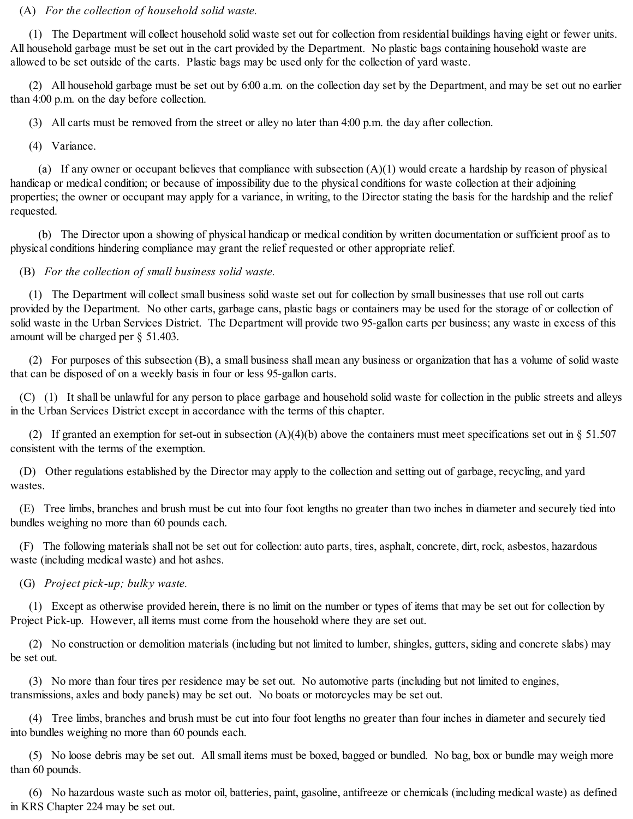#### (A) *For the collection of household solid waste.*

(1) The Department will collect household solid waste set out for collection from residential buildings having eight or fewer units. All household garbage must be set out in the cart provided by the Department. No plastic bags containing household waste are allowed to be set outside of the carts. Plastic bags may be used only for the collection of yard waste.

(2) All household garbage must be set out by 6:00 a.m. on the collection day set by the Department, and may be set out no earlier than 4:00 p.m. on the day before collection.

(3) All carts must be removed from the street or alley no later than 4:00 p.m. the day after collection.

(4) Variance.

(a) If any owner or occupant believes that compliance with subsection  $(A)(1)$  would create a hardship by reason of physical handicap or medical condition; or because of impossibility due to the physical conditions for waste collection at their adjoining properties; the owner or occupant may apply for a variance, in writing, to the Director stating the basis for the hardship and the relief requested.

(b) The Director upon a showing of physical handicap or medical condition by written documentation or sufficient proof as to physical conditions hindering compliance may grant the relief requested or other appropriate relief.

(B) *For the collection of small business solid waste.*

(1) The Department will collect small business solid waste set out for collection by small businesses that use roll out carts provided by the Department. No other carts, garbage cans, plastic bags or containers may be used for the storage of or collection of solid waste in the Urban Services District. The Department will provide two 95-gallon carts per business; any waste in excess of this amount will be charged per § 51.403.

(2) For purposes of this subsection (B), a small business shall mean any business or organization that has a volume of solid waste that can be disposed of on a weekly basis in four or less 95-gallon carts.

(C) (1) It shall be unlawful for any person to place garbage and household solid waste for collection in the public streets and alleys in the Urban Services District except in accordance with the terms of this chapter.

(2) If granted an exemption for set-out in subsection  $(A)(4)(b)$  above the containers must meet specifications set out in § 51.507 consistent with the terms of the exemption.

(D) Other regulations established by the Director may apply to the collection and setting out of garbage, recycling, and yard wastes.

(E) Tree limbs, branches and brush must be cut into four foot lengths no greater than two inches in diameter and securely tied into bundles weighing no more than 60 pounds each.

(F) The following materials shall not be set out for collection: auto parts, tires, asphalt, concrete, dirt, rock, asbestos, hazardous waste (including medical waste) and hot ashes.

(G) *Project pick-up; bulky waste.*

(1) Except as otherwise provided herein, there is no limit on the number or types of items that may be set out for collection by Project Pick-up. However, all items must come from the household where they are set out.

(2) No construction or demolition materials (including but not limited to lumber, shingles, gutters, siding and concrete slabs) may be set out.

(3) No more than four tires per residence may be set out. No automotive parts (including but not limited to engines, transmissions, axles and body panels) may be set out. No boats or motorcycles may be set out.

(4) Tree limbs, branches and brush must be cut into four foot lengths no greater than four inches in diameter and securely tied into bundles weighing no more than 60 pounds each.

(5) No loose debris may be set out. Allsmall items must be boxed, bagged or bundled. No bag, box or bundle may weigh more than 60 pounds.

(6) No hazardous waste such as motor oil, batteries, paint, gasoline, antifreeze or chemicals (including medical waste) as defined in KRS Chapter 224 may be set out.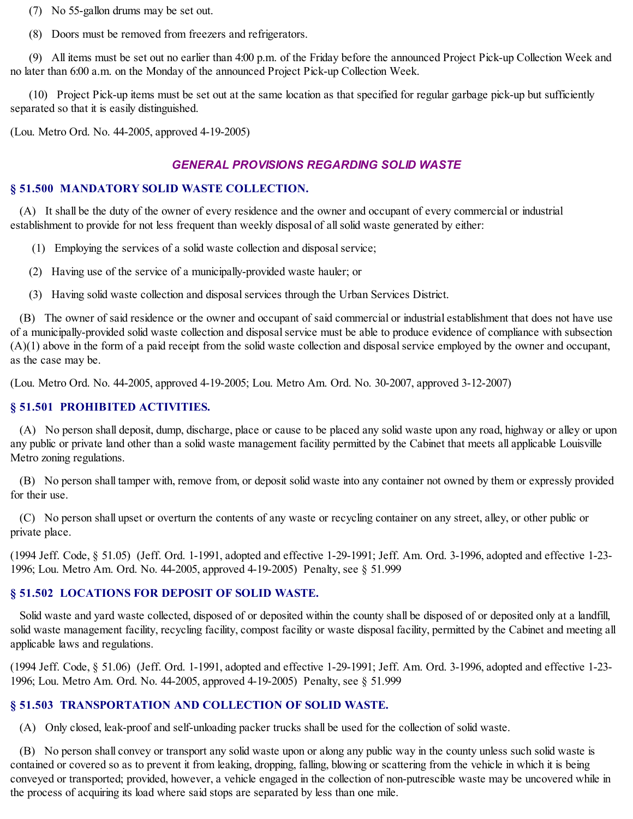(7) No 55-gallon drums may be set out.

(8) Doors must be removed from freezers and refrigerators.

(9) All items must be set out no earlier than 4:00 p.m. of the Friday before the announced Project Pick-up Collection Week and no later than 6:00 a.m. on the Monday of the announced Project Pick-up Collection Week.

(10) Project Pick-up items must be set out at the same location as that specified for regular garbage pick-up but sufficiently separated so that it is easily distinguished.

(Lou. Metro Ord. No. 44-2005, approved 4-19-2005)

# *GENERAL PROVISIONS REGARDING SOLID WASTE*

### **§ 51.500 MANDATORY SOLID WASTE COLLECTION.**

(A) It shall be the duty of the owner of every residence and the owner and occupant of every commercial or industrial establishment to provide for not less frequent than weekly disposal of allsolid waste generated by either:

(1) Employing the services of a solid waste collection and disposalservice;

- (2) Having use of the service of a municipally-provided waste hauler; or
- (3) Having solid waste collection and disposalservices through the Urban Services District.

(B) The owner of said residence or the owner and occupant of said commercial or industrial establishment that does not have use of a municipally-provided solid waste collection and disposalservice must be able to produce evidence of compliance with subsection  $(A)(1)$  above in the form of a paid receipt from the solid waste collection and disposal service employed by the owner and occupant, as the case may be.

(Lou. Metro Ord. No. 44-2005, approved 4-19-2005; Lou. Metro Am. Ord. No. 30-2007, approved 3-12-2007)

# **§ 51.501 PROHIBITED ACTIVITIES.**

(A) No person shall deposit, dump, discharge, place or cause to be placed any solid waste upon any road, highway or alley or upon any public or private land other than a solid waste management facility permitted by the Cabinet that meets all applicable Louisville Metro zoning regulations.

(B) No person shall tamper with, remove from, or deposit solid waste into any container not owned by them or expressly provided for their use.

(C) No person shall upset or overturn the contents of any waste or recycling container on any street, alley, or other public or private place.

(1994 Jeff. Code, § 51.05) (Jeff. Ord. 1-1991, adopted and effective 1-29-1991; Jeff. Am. Ord. 3-1996, adopted and effective 1-23- 1996; Lou. Metro Am. Ord. No. 44-2005, approved 4-19-2005) Penalty, see § 51.999

### **§ 51.502 LOCATIONS FOR DEPOSIT OF SOLID WASTE.**

Solid waste and yard waste collected, disposed of or deposited within the county shall be disposed of or deposited only at a landfill, solid waste management facility, recycling facility, compost facility or waste disposal facility, permitted by the Cabinet and meeting all applicable laws and regulations.

(1994 Jeff. Code, § 51.06) (Jeff. Ord. 1-1991, adopted and effective 1-29-1991; Jeff. Am. Ord. 3-1996, adopted and effective 1-23- 1996; Lou. Metro Am. Ord. No. 44-2005, approved 4-19-2005) Penalty, see § 51.999

# **§ 51.503 TRANSPORTATION AND COLLECTION OF SOLID WASTE.**

(A) Only closed, leak-proof and self-unloading packer trucks shall be used for the collection of solid waste.

(B) No person shall convey or transport any solid waste upon or along any public way in the county unless such solid waste is contained or covered so as to prevent it from leaking, dropping, falling, blowing or scattering from the vehicle in which it is being conveyed or transported; provided, however, a vehicle engaged in the collection of non-putrescible waste may be uncovered while in the process of acquiring its load where said stops are separated by less than one mile.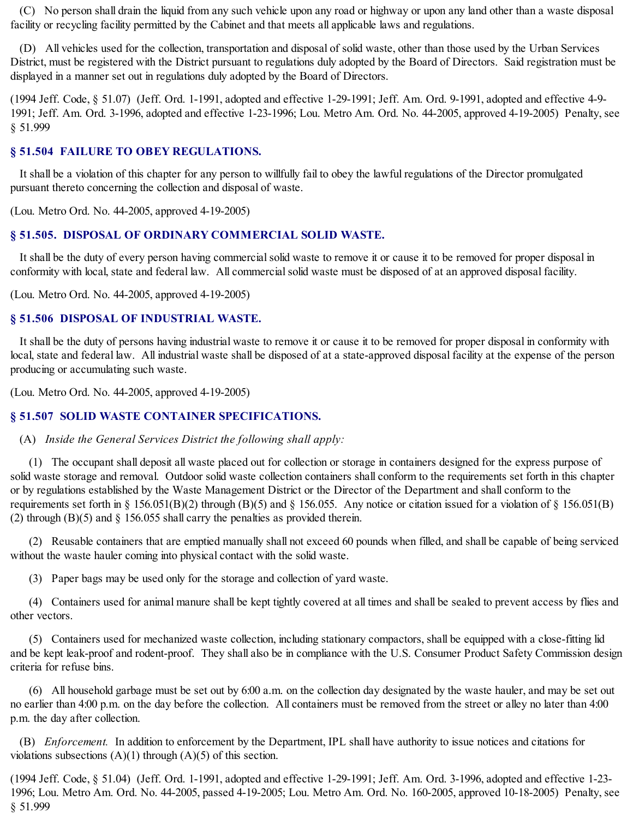(C) No person shall drain the liquid from any such vehicle upon any road or highway or upon any land other than a waste disposal facility or recycling facility permitted by the Cabinet and that meets all applicable laws and regulations.

(D) All vehicles used for the collection, transportation and disposal of solid waste, other than those used by the Urban Services District, must be registered with the District pursuant to regulations duly adopted by the Board of Directors. Said registration must be displayed in a manner set out in regulations duly adopted by the Board of Directors.

(1994 Jeff. Code, § 51.07) (Jeff. Ord. 1-1991, adopted and effective 1-29-1991; Jeff. Am. Ord. 9-1991, adopted and effective 4-9- 1991; Jeff. Am. Ord. 3-1996, adopted and effective 1-23-1996; Lou. Metro Am. Ord. No. 44-2005, approved 4-19-2005) Penalty, see § 51.999

### **§ 51.504 FAILURE TO OBEY REGULATIONS.**

It shall be a violation of this chapter for any person to willfully fail to obey the lawful regulations of the Director promulgated pursuant thereto concerning the collection and disposal of waste.

(Lou. Metro Ord. No. 44-2005, approved 4-19-2005)

### **§ 51.505. DISPOSAL OF ORDINARY COMMERCIAL SOLID WASTE.**

It shall be the duty of every person having commercialsolid waste to remove it or cause it to be removed for proper disposal in conformity with local, state and federal law. All commercialsolid waste must be disposed of at an approved disposal facility.

(Lou. Metro Ord. No. 44-2005, approved 4-19-2005)

### **§ 51.506 DISPOSAL OF INDUSTRIAL WASTE.**

It shall be the duty of persons having industrial waste to remove it or cause it to be removed for proper disposal in conformity with local, state and federal law. All industrial waste shall be disposed of at a state-approved disposal facility at the expense of the person producing or accumulating such waste.

(Lou. Metro Ord. No. 44-2005, approved 4-19-2005)

#### **§ 51.507 SOLID WASTE CONTAINER SPECIFICATIONS.**

#### (A) *Inside the General Services District the following shall apply:*

(1) The occupant shall deposit all waste placed out for collection or storage in containers designed for the express purpose of solid waste storage and removal. Outdoor solid waste collection containers shall conform to the requirements set forth in this chapter or by regulations established by the Waste Management District or the Director of the Department and shall conform to the requirements set forth in § 156.051(B)(2) through (B)(5) and § 156.055. Any notice or citation issued for a violation of § 156.051(B) (2) through (B)(5) and § 156.055 shall carry the penalties as provided therein.

(2) Reusable containers that are emptied manually shall not exceed 60 pounds when filled, and shall be capable of being serviced without the waste hauler coming into physical contact with the solid waste.

(3) Paper bags may be used only for the storage and collection of yard waste.

(4) Containers used for animal manure shall be kept tightly covered at all times and shall be sealed to prevent access by flies and other vectors.

(5) Containers used for mechanized waste collection, including stationary compactors, shall be equipped with a close-fitting lid and be kept leak-proof and rodent-proof. They shall also be in compliance with the U.S. Consumer Product Safety Commission design criteria for refuse bins.

(6) All household garbage must be set out by 6:00 a.m. on the collection day designated by the waste hauler, and may be set out no earlier than 4:00 p.m. on the day before the collection. All containers must be removed from the street or alley no later than 4:00 p.m. the day after collection.

(B) *Enforcement.* In addition to enforcement by the Department, IPL shall have authority to issue notices and citations for violations subsections  $(A)(1)$  through  $(A)(5)$  of this section.

(1994 Jeff. Code, § 51.04) (Jeff. Ord. 1-1991, adopted and effective 1-29-1991; Jeff. Am. Ord. 3-1996, adopted and effective 1-23- 1996; Lou. Metro Am. Ord. No. 44-2005, passed 4-19-2005; Lou. Metro Am. Ord. No. 160-2005, approved 10-18-2005) Penalty, see § 51.999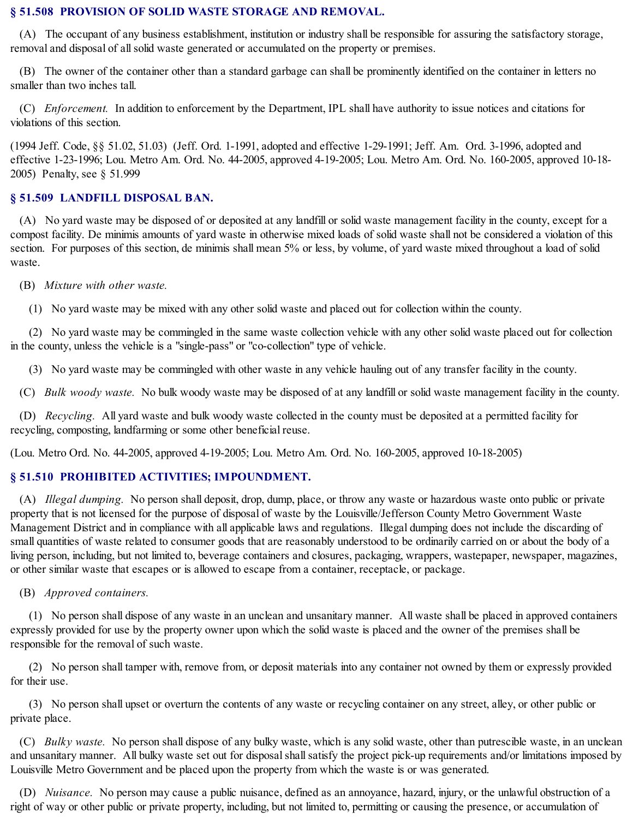### **§ 51.508 PROVISION OF SOLID WASTE STORAGE AND REMOVAL.**

(A) The occupant of any business establishment, institution or industry shall be responsible for assuring the satisfactory storage, removal and disposal of allsolid waste generated or accumulated on the property or premises.

(B) The owner of the container other than a standard garbage can shall be prominently identified on the container in letters no smaller than two inches tall.

(C) *Enforcement.* In addition to enforcement by the Department, IPL shall have authority to issue notices and citations for violations of this section.

(1994 Jeff. Code, §§ 51.02, 51.03) (Jeff. Ord. 1-1991, adopted and effective 1-29-1991; Jeff. Am. Ord. 3-1996, adopted and effective 1-23-1996; Lou. Metro Am. Ord. No. 44-2005, approved 4-19-2005; Lou. Metro Am. Ord. No. 160-2005, approved 10-18- 2005) Penalty, see § 51.999

### **§ 51.509 LANDFILL DISPOSAL BAN.**

(A) No yard waste may be disposed of or deposited at any landfill or solid waste management facility in the county, except for a compost facility. De minimis amounts of yard waste in otherwise mixed loads of solid waste shall not be considered a violation of this section. For purposes of this section, de minimis shall mean 5% or less, by volume, of yard waste mixed throughout a load of solid waste.

(B) *Mixture with other waste.*

(1) No yard waste may be mixed with any other solid waste and placed out for collection within the county.

(2) No yard waste may be commingled in the same waste collection vehicle with any other solid waste placed out for collection in the county, unless the vehicle is a "single-pass" or "co-collection" type of vehicle.

(3) No yard waste may be commingled with other waste in any vehicle hauling out of any transfer facility in the county.

(C) *Bulk woody waste.* No bulk woody waste may be disposed of at any landfill or solid waste management facility in the county.

(D) *Recycling.* All yard waste and bulk woody waste collected in the county must be deposited at a permitted facility for recycling, composting, landfarming or some other beneficial reuse.

(Lou. Metro Ord. No. 44-2005, approved 4-19-2005; Lou. Metro Am. Ord. No. 160-2005, approved 10-18-2005)

### **§ 51.510 PROHIBITED ACTIVITIES; IMPOUNDMENT.**

(A) *Illegal dumping.* No person shall deposit, drop, dump, place, or throw any waste or hazardous waste onto public or private property that is not licensed for the purpose of disposal of waste by the Louisville/Jefferson County Metro Government Waste Management District and in compliance with all applicable laws and regulations. Illegal dumping does not include the discarding of small quantities of waste related to consumer goods that are reasonably understood to be ordinarily carried on or about the body of a living person, including, but not limited to, beverage containers and closures, packaging, wrappers, wastepaper, newspaper, magazines, or other similar waste that escapes or is allowed to escape from a container, receptacle, or package.

(B) *Approved containers.*

(1) No person shall dispose of any waste in an unclean and unsanitary manner. All waste shall be placed in approved containers expressly provided for use by the property owner upon which the solid waste is placed and the owner of the premises shall be responsible for the removal of such waste.

(2) No person shall tamper with, remove from, or deposit materials into any container not owned by them or expressly provided for their use.

(3) No person shall upset or overturn the contents of any waste or recycling container on any street, alley, or other public or private place.

(C) *Bulky waste.* No person shall dispose of any bulky waste, which is any solid waste, other than putrescible waste, in an unclean and unsanitary manner. All bulky waste set out for disposal shall satisfy the project pick-up requirements and/or limitations imposed by Louisville Metro Government and be placed upon the property from which the waste is or was generated.

(D) *Nuisance.* No person may cause a public nuisance, defined as an annoyance, hazard, injury, or the unlawful obstruction of a right of way or other public or private property, including, but not limited to, permitting or causing the presence, or accumulation of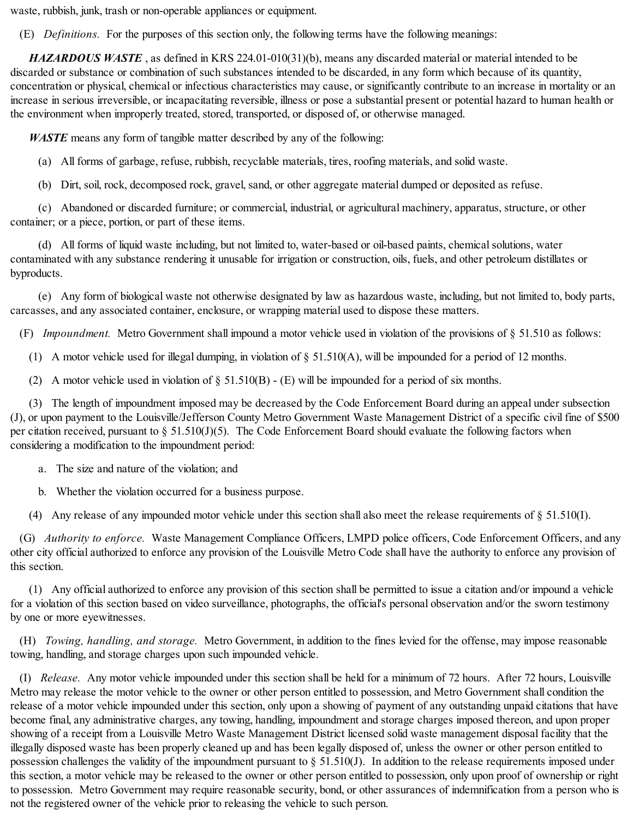waste, rubbish, junk, trash or non-operable appliances or equipment.

(E) *Definitions.* For the purposes of this section only, the following terms have the following meanings:

*HAZARDOUS WASTE* , as defined in KRS 224.01-010(31)(b), means any discarded material or material intended to be discarded or substance or combination of such substances intended to be discarded, in any form which because of its quantity, concentration or physical, chemical or infectious characteristics may cause, or significantly contribute to an increase in mortality or an increase in serious irreversible, or incapacitating reversible, illness or pose a substantial present or potential hazard to human health or the environment when improperly treated, stored, transported, or disposed of, or otherwise managed.

*WASTE* means any form of tangible matter described by any of the following:

(a) All forms of garbage, refuse, rubbish, recyclable materials, tires, roofing materials, and solid waste.

(b) Dirt, soil, rock, decomposed rock, gravel, sand, or other aggregate material dumped or deposited as refuse.

(c) Abandoned or discarded furniture; or commercial, industrial, or agricultural machinery, apparatus, structure, or other container; or a piece, portion, or part of these items.

(d) All forms of liquid waste including, but not limited to, water-based or oil-based paints, chemicalsolutions, water contaminated with any substance rendering it unusable for irrigation or construction, oils, fuels, and other petroleum distillates or byproducts.

(e) Any form of biological waste not otherwise designated by law as hazardous waste, including, but not limited to, body parts, carcasses, and any associated container, enclosure, or wrapping material used to dispose these matters.

(F) *Impoundment.* Metro Government shall impound a motor vehicle used in violation of the provisions of § 51.510 as follows:

(1) A motor vehicle used for illegal dumping, in violation of § 51.510(A), will be impounded for a period of 12 months.

(2) A motor vehicle used in violation of  $\S$  51.510(B) - (E) will be impounded for a period of six months.

(3) The length of impoundment imposed may be decreased by the Code Enforcement Board during an appeal under subsection (J), or upon payment to the Louisville/Jefferson County Metro Government Waste Management District of a specific civil fine of \$500 per citation received, pursuant to § 51.510(J)(5). The Code Enforcement Board should evaluate the following factors when considering a modification to the impoundment period:

- a. The size and nature of the violation; and
- b. Whether the violation occurred for a business purpose.

(4) Any release of any impounded motor vehicle under this section shall also meet the release requirements of § 51.510(I).

(G) *Authority to enforce.* Waste Management Compliance Officers, LMPD police officers, Code Enforcement Officers, and any other city official authorized to enforce any provision of the Louisville Metro Code shall have the authority to enforce any provision of this section.

(1) Any official authorized to enforce any provision of this section shall be permitted to issue a citation and/or impound a vehicle for a violation of this section based on video surveillance, photographs, the official's personal observation and/or the sworn testimony by one or more eyewitnesses.

(H) *Towing, handling, and storage.* Metro Government, in addition to the fines levied for the offense, may impose reasonable towing, handling, and storage charges upon such impounded vehicle.

(I) *Release.* Any motor vehicle impounded under this section shall be held for a minimum of 72 hours. After 72 hours, Louisville Metro may release the motor vehicle to the owner or other person entitled to possession, and Metro Government shall condition the release of a motor vehicle impounded under this section, only upon a showing of payment of any outstanding unpaid citations that have become final, any administrative charges, any towing, handling, impoundment and storage charges imposed thereon, and upon proper showing of a receipt from a Louisville Metro Waste Management District licensed solid waste management disposal facility that the illegally disposed waste has been properly cleaned up and has been legally disposed of, unless the owner or other person entitled to possession challenges the validity of the impoundment pursuant to § 51.510(J). In addition to the release requirements imposed under this section, a motor vehicle may be released to the owner or other person entitled to possession, only upon proof of ownership or right to possession. Metro Government may require reasonable security, bond, or other assurances of indemnification from a person who is not the registered owner of the vehicle prior to releasing the vehicle to such person.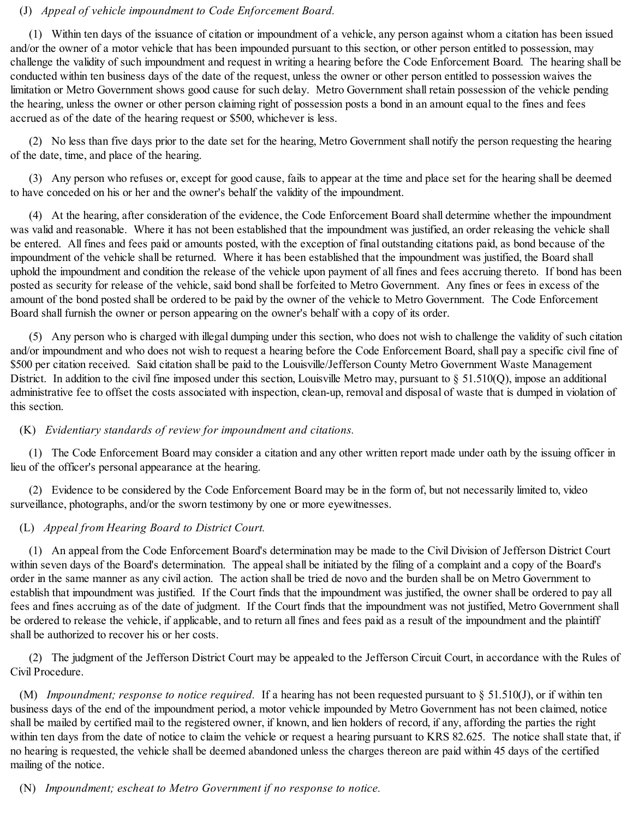### (J) *Appeal of vehicle impoundment to Code Enforcement Board.*

(1) Within ten days of the issuance of citation or impoundment of a vehicle, any person against whom a citation has been issued and/or the owner of a motor vehicle that has been impounded pursuant to this section, or other person entitled to possession, may challenge the validity of such impoundment and request in writing a hearing before the Code Enforcement Board. The hearing shall be conducted within ten business days of the date of the request, unless the owner or other person entitled to possession waives the limitation or Metro Government shows good cause for such delay. Metro Government shall retain possession of the vehicle pending the hearing, unless the owner or other person claiming right of possession posts a bond in an amount equal to the fines and fees accrued as of the date of the hearing request or \$500, whichever is less.

(2) No less than five days prior to the date set for the hearing, Metro Government shall notify the person requesting the hearing of the date, time, and place of the hearing.

(3) Any person who refuses or, except for good cause, fails to appear at the time and place set for the hearing shall be deemed to have conceded on his or her and the owner's behalf the validity of the impoundment.

(4) At the hearing, after consideration of the evidence, the Code Enforcement Board shall determine whether the impoundment was valid and reasonable. Where it has not been established that the impoundment was justified, an order releasing the vehicle shall be entered. All fines and fees paid or amounts posted, with the exception of final outstanding citations paid, as bond because of the impoundment of the vehicle shall be returned. Where it has been established that the impoundment was justified, the Board shall uphold the impoundment and condition the release of the vehicle upon payment of all fines and fees accruing thereto. If bond has been posted as security for release of the vehicle, said bond shall be forfeited to Metro Government. Any fines or fees in excess of the amount of the bond posted shall be ordered to be paid by the owner of the vehicle to Metro Government. The Code Enforcement Board shall furnish the owner or person appearing on the owner's behalf with a copy of its order.

(5) Any person who is charged with illegal dumping under this section, who does not wish to challenge the validity of such citation and/or impoundment and who does not wish to request a hearing before the Code Enforcement Board, shall pay a specific civil fine of \$500 per citation received. Said citation shall be paid to the Louisville/Jefferson County Metro Government Waste Management District. In addition to the civil fine imposed under this section, Louisville Metro may, pursuant to § 51.510(Q), impose an additional administrative fee to offset the costs associated with inspection, clean-up, removal and disposal of waste that is dumped in violation of this section.

### (K) *Evidentiary standards of review for impoundment and citations.*

(1) The Code Enforcement Board may consider a citation and any other written report made under oath by the issuing officer in lieu of the officer's personal appearance at the hearing.

(2) Evidence to be considered by the Code Enforcement Board may be in the form of, but not necessarily limited to, video surveillance, photographs, and/or the sworn testimony by one or more eyewitnesses.

### (L) *Appeal from Hearing Board to District Court.*

(1) An appeal from the Code Enforcement Board's determination may be made to the Civil Division of Jefferson District Court within seven days of the Board's determination. The appealshall be initiated by the filing of a complaint and a copy of the Board's order in the same manner as any civil action. The action shall be tried de novo and the burden shall be on Metro Government to establish that impoundment was justified. If the Court finds that the impoundment was justified, the owner shall be ordered to pay all fees and fines accruing as of the date of judgment. If the Court finds that the impoundment was not justified, Metro Government shall be ordered to release the vehicle, if applicable, and to return all fines and fees paid as a result of the impoundment and the plaintiff shall be authorized to recover his or her costs.

(2) The judgment of the Jefferson District Court may be appealed to the Jefferson Circuit Court, in accordance with the Rules of Civil Procedure.

(M) *Impoundment; response to notice required.* If a hearing has not been requested pursuant to § 51.510(J), or if within ten business days of the end of the impoundment period, a motor vehicle impounded by Metro Government has not been claimed, notice shall be mailed by certified mail to the registered owner, if known, and lien holders of record, if any, affording the parties the right within ten days from the date of notice to claim the vehicle or request a hearing pursuant to KRS 82.625. The notice shall state that, if no hearing is requested, the vehicle shall be deemed abandoned unless the charges thereon are paid within 45 days of the certified mailing of the notice.

(N) *Impoundment; escheat to Metro Government if no response to notice.*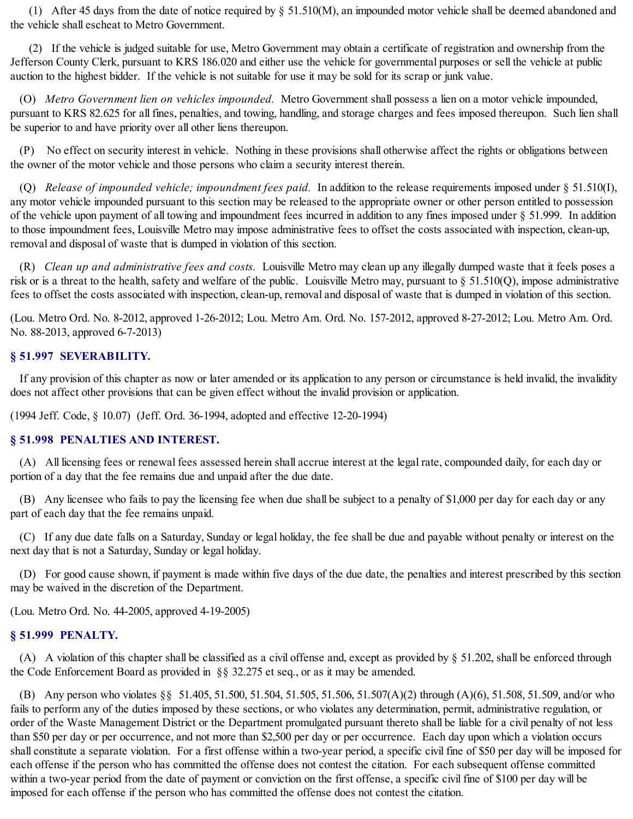(1) After 45 days from the date of notice required by § 51.510(M), an impounded motor vehicle shall be deemed abandoned and the vehicle shall escheat to Metro Government.

(2) If the vehicle is judged suitable for use, Metro Government may obtain a certificate of registration and ownership from the Jefferson County Clerk, pursuant to KRS 186.020 and either use the vehicle for governmental purposes or sell the vehicle at public auction to the highest bidder. If the vehicle is not suitable for use it may be sold for its scrap or junk value.

(O) *Metro Government lien on vehicles impounded.* Metro Government shall possess a lien on a motor vehicle impounded, pursuant to KRS 82.625 for all fines, penalties, and towing, handling, and storage charges and fees imposed thereupon. Such lien shall be superior to and have priority over all other liens thereupon.

(P) No effect on security interest in vehicle. Nothing in these provisions shall otherwise affect the rights or obligations between the owner of the motor vehicle and those persons who claim a security interest therein.

(Q) *Release of impounded vehicle; impoundment fees paid.* In addition to the release requirements imposed under § 51.510(I), any motor vehicle impounded pursuant to this section may be released to the appropriate owner or other person entitled to possession of the vehicle upon payment of all towing and impoundment fees incurred in addition to any fines imposed under § 51.999. In addition to those impoundment fees, Louisville Metro may impose administrative fees to offset the costs associated with inspection, clean-up, removal and disposal of waste that is dumped in violation of this section.

(R) *Clean up and administrative fees and costs.* Louisville Metro may clean up any illegally dumped waste that it feels poses a risk or is a threat to the health, safety and welfare of the public. Louisville Metro may, pursuant to § 51.510(Q), impose administrative fees to offset the costs associated with inspection, clean-up, removal and disposal of waste that is dumped in violation of this section.

(Lou. Metro Ord. No. 8-2012, approved 1-26-2012; Lou. Metro Am. Ord. No. 157-2012, approved 8-27-2012; Lou. Metro Am. Ord. No. 88-2013, approved 6-7-2013)

#### **§ 51.997 SEVERABILITY.**

If any provision of this chapter as now or later amended or its application to any person or circumstance is held invalid, the invalidity does not affect other provisions that can be given effect without the invalid provision or application.

(1994 Jeff. Code, § 10.07) (Jeff. Ord. 36-1994, adopted and effective 12-20-1994)

#### **§ 51.998 PENALTIES AND INTEREST.**

(A) All licensing fees or renewal fees assessed herein shall accrue interest at the legal rate, compounded daily, for each day or portion of a day that the fee remains due and unpaid after the due date.

(B) Any licensee who fails to pay the licensing fee when due shall be subject to a penalty of \$1,000 per day for each day or any part of each day that the fee remains unpaid.

(C) If any due date falls on a Saturday, Sunday or legal holiday, the fee shall be due and payable without penalty or interest on the next day that is not a Saturday, Sunday or legal holiday.

(D) For good cause shown, if payment is made within five days of the due date, the penalties and interest prescribed by this section may be waived in the discretion of the Department.

(Lou. Metro Ord. No. 44-2005, approved 4-19-2005)

#### **§ 51.999 PENALTY.**

(A) A violation of this chapter shall be classified as a civil offense and, except as provided by § 51.202, shall be enforced through the Code Enforcement Board as provided in §§ 32.275 et seq., or as it may be amended.

(B) Any person who violates §§ 51.405, 51.500, 51.504, 51.505, 51.506, 51.507(A)(2) through (A)(6), 51.508, 51.509, and/or who fails to perform any of the duties imposed by these sections, or who violates any determination, permit, administrative regulation, or order of the Waste Management District or the Department promulgated pursuant thereto shall be liable for a civil penalty of not less than \$50 per day or per occurrence, and not more than \$2,500 per day or per occurrence. Each day upon which a violation occurs shall constitute a separate violation. For a first offense within a two-year period, a specific civil fine of \$50 per day will be imposed for each offense if the person who has committed the offense does not contest the citation. For each subsequent offense committed within a two-year period from the date of payment or conviction on the first offense, a specific civil fine of \$100 per day will be imposed for each offense if the person who has committed the offense does not contest the citation.